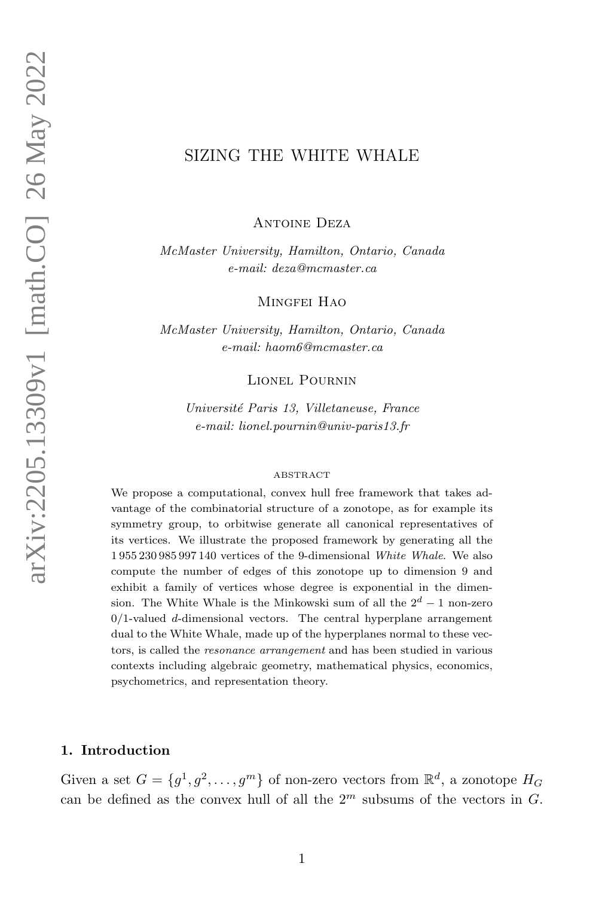# SIZING THE WHITE WHALE

Antoine Deza

McMaster University, Hamilton, Ontario, Canada e-mail: deza@mcmaster.ca

MINGFEI HAO

McMaster University, Hamilton, Ontario, Canada e-mail: haom6@mcmaster.ca

Lionel Pournin

Université Paris 13, Villetaneuse, France e-mail: lionel.pournin@univ-paris13.fr

#### ABSTRACT

We propose a computational, convex hull free framework that takes advantage of the combinatorial structure of a zonotope, as for example its symmetry group, to orbitwise generate all canonical representatives of its vertices. We illustrate the proposed framework by generating all the 1 955 230 985 997 140 vertices of the 9-dimensional White Whale. We also compute the number of edges of this zonotope up to dimension 9 and exhibit a family of vertices whose degree is exponential in the dimension. The White Whale is the Minkowski sum of all the  $2^d - 1$  non-zero  $0/1$ -valued d-dimensional vectors. The central hyperplane arrangement dual to the White Whale, made up of the hyperplanes normal to these vectors, is called the resonance arrangement and has been studied in various contexts including algebraic geometry, mathematical physics, economics, psychometrics, and representation theory.

## 1. Introduction

Given a set  $G = \{g^1, g^2, \dots, g^m\}$  of non-zero vectors from  $\mathbb{R}^d$ , a zonotope  $H_G$ can be defined as the convex hull of all the  $2<sup>m</sup>$  subsums of the vectors in G.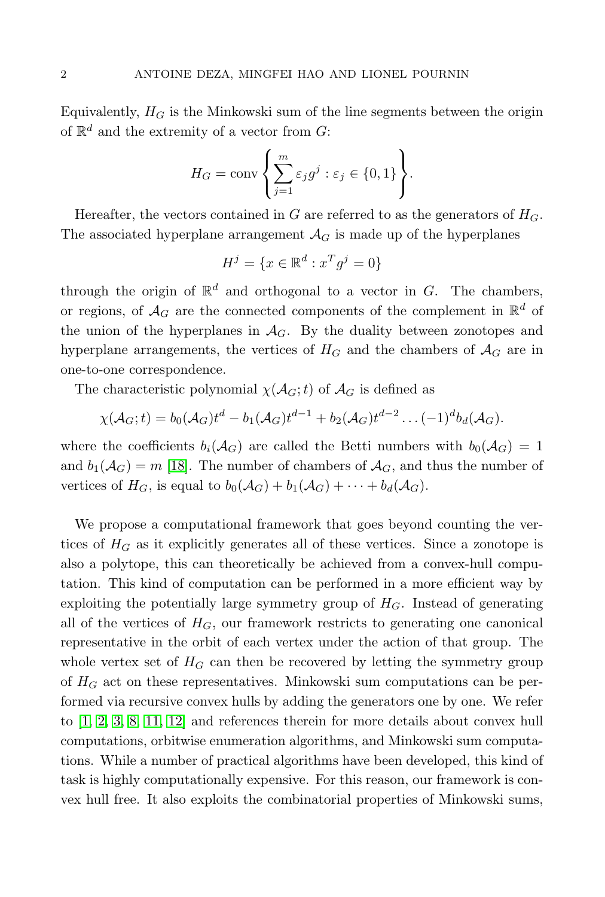Equivalently,  $H_G$  is the Minkowski sum of the line segments between the origin of  $\mathbb{R}^d$  and the extremity of a vector from G:

$$
H_G = \text{conv}\left\{\sum_{j=1}^m \varepsilon_j g^j : \varepsilon_j \in \{0, 1\}\right\}.
$$

Hereafter, the vectors contained in G are referred to as the generators of  $H_G$ . The associated hyperplane arrangement  $\mathcal{A}_G$  is made up of the hyperplanes

$$
H^j = \{ x \in \mathbb{R}^d : x^T g^j = 0 \}
$$

through the origin of  $\mathbb{R}^d$  and orthogonal to a vector in G. The chambers, or regions, of  $\mathcal{A}_G$  are the connected components of the complement in  $\mathbb{R}^d$  of the union of the hyperplanes in  $\mathcal{A}_G$ . By the duality between zonotopes and hyperplane arrangements, the vertices of  $H_G$  and the chambers of  $A_G$  are in one-to-one correspondence.

The characteristic polynomial  $\chi(\mathcal{A}_G;t)$  of  $\mathcal{A}_G$  is defined as

$$
\chi(\mathcal{A}_G;t) = b_0(\mathcal{A}_G)t^d - b_1(\mathcal{A}_G)t^{d-1} + b_2(\mathcal{A}_G)t^{d-2} \dots (-1)^d b_d(\mathcal{A}_G).
$$

where the coefficients  $b_i(\mathcal{A}_G)$  are called the Betti numbers with  $b_0(\mathcal{A}_G) = 1$ and  $b_1(\mathcal{A}_G) = m$  [\[18\]](#page-25-0). The number of chambers of  $\mathcal{A}_G$ , and thus the number of vertices of  $H_G$ , is equal to  $b_0(\mathcal{A}_G) + b_1(\mathcal{A}_G) + \cdots + b_d(\mathcal{A}_G)$ .

We propose a computational framework that goes beyond counting the vertices of  $H_G$  as it explicitly generates all of these vertices. Since a zonotope is also a polytope, this can theoretically be achieved from a convex-hull computation. This kind of computation can be performed in a more efficient way by exploiting the potentially large symmetry group of  $H_G$ . Instead of generating all of the vertices of  $H_G$ , our framework restricts to generating one canonical representative in the orbit of each vertex under the action of that group. The whole vertex set of  $H_G$  can then be recovered by letting the symmetry group of  $H_G$  act on these representatives. Minkowski sum computations can be performed via recursive convex hulls by adding the generators one by one. We refer to [\[1,](#page-24-0) [2,](#page-24-1) [3,](#page-25-1) [8,](#page-25-2) [11,](#page-25-3) [12\]](#page-25-4) and references therein for more details about convex hull computations, orbitwise enumeration algorithms, and Minkowski sum computations. While a number of practical algorithms have been developed, this kind of task is highly computationally expensive. For this reason, our framework is convex hull free. It also exploits the combinatorial properties of Minkowski sums,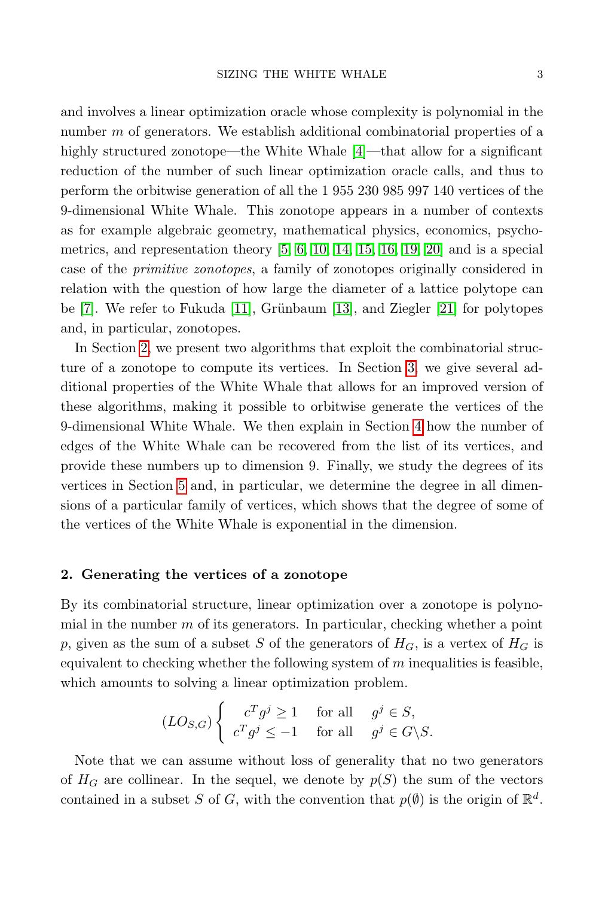and involves a linear optimization oracle whose complexity is polynomial in the number m of generators. We establish additional combinatorial properties of a highly structured zonotope—the White Whale [\[4\]](#page-25-5)—that allow for a significant reduction of the number of such linear optimization oracle calls, and thus to perform the orbitwise generation of all the 1 955 230 985 997 140 vertices of the 9-dimensional White Whale. This zonotope appears in a number of contexts as for example algebraic geometry, mathematical physics, economics, psychometrics, and representation theory [\[5,](#page-25-6) [6,](#page-25-7) [10,](#page-25-8) [14,](#page-25-9) [15,](#page-25-10) [16,](#page-25-11) [19,](#page-25-12) [20\]](#page-25-13) and is a special case of the primitive zonotopes, a family of zonotopes originally considered in relation with the question of how large the diameter of a lattice polytope can be  $[7]$ . We refer to Fukuda  $[11]$ , Grünbaum  $[13]$ , and Ziegler  $[21]$  for polytopes and, in particular, zonotopes.

In Section [2,](#page-2-0) we present two algorithms that exploit the combinatorial structure of a zonotope to compute its vertices. In Section [3,](#page-6-0) we give several additional properties of the White Whale that allows for an improved version of these algorithms, making it possible to orbitwise generate the vertices of the 9-dimensional White Whale. We then explain in Section [4](#page-16-0) how the number of edges of the White Whale can be recovered from the list of its vertices, and provide these numbers up to dimension 9. Finally, we study the degrees of its vertices in Section [5](#page-19-0) and, in particular, we determine the degree in all dimensions of a particular family of vertices, which shows that the degree of some of the vertices of the White Whale is exponential in the dimension.

### <span id="page-2-0"></span>2. Generating the vertices of a zonotope

By its combinatorial structure, linear optimization over a zonotope is polynomial in the number  $m$  of its generators. In particular, checking whether a point p, given as the sum of a subset S of the generators of  $H_G$ , is a vertex of  $H_G$  is equivalent to checking whether the following system of  $m$  inequalities is feasible, which amounts to solving a linear optimization problem.

$$
(LO_{S,G})\begin{cases} c^Tg^j \ge 1 & \text{for all } g^j \in S, \\ c^Tg^j \le -1 & \text{for all } g^j \in G\backslash S. \end{cases}
$$

Note that we can assume without loss of generality that no two generators of  $H_G$  are collinear. In the sequel, we denote by  $p(S)$  the sum of the vectors contained in a subset S of G, with the convention that  $p(\emptyset)$  is the origin of  $\mathbb{R}^d$ .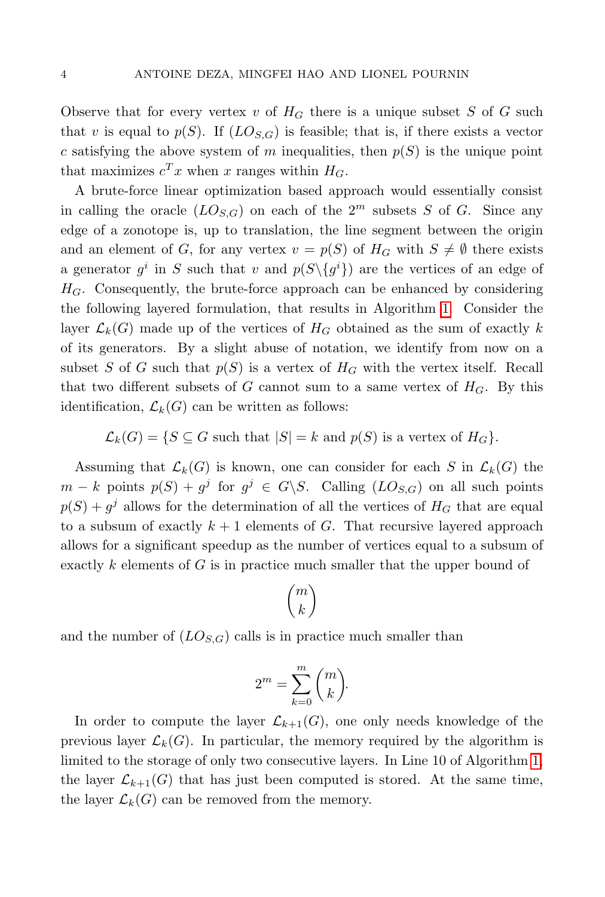Observe that for every vertex v of  $H_G$  there is a unique subset S of G such that v is equal to  $p(S)$ . If  $(LO_{S,G})$  is feasible; that is, if there exists a vector c satisfying the above system of m inequalities, then  $p(S)$  is the unique point that maximizes  $c^T x$  when x ranges within  $H_G$ .

A brute-force linear optimization based approach would essentially consist in calling the oracle  $(LO_{S,G})$  on each of the  $2^m$  subsets S of G. Since any edge of a zonotope is, up to translation, the line segment between the origin and an element of G, for any vertex  $v = p(S)$  of  $H_G$  with  $S \neq \emptyset$  there exists a generator  $g^i$  in S such that v and  $p(S\setminus\{g^i\})$  are the vertices of an edge of  $H_G$ . Consequently, the brute-force approach can be enhanced by considering the following layered formulation, that results in Algorithm [1.](#page-3-0) Consider the layer  $\mathcal{L}_k(G)$  made up of the vertices of  $H_G$  obtained as the sum of exactly k of its generators. By a slight abuse of notation, we identify from now on a subset S of G such that  $p(S)$  is a vertex of  $H_G$  with the vertex itself. Recall that two different subsets of G cannot sum to a same vertex of  $H_G$ . By this identification,  $\mathcal{L}_k(G)$  can be written as follows:

 $\mathcal{L}_k(G) = \{ S \subseteq G \text{ such that } |S| = k \text{ and } p(S) \text{ is a vertex of } H_G \}.$ 

Assuming that  $\mathcal{L}_k(G)$  is known, one can consider for each S in  $\mathcal{L}_k(G)$  the  $m - k$  points  $p(S) + g^j$  for  $g^j \in G \backslash S$ . Calling  $(LO_{S,G})$  on all such points  $p(S) + g^j$  allows for the determination of all the vertices of  $H_G$  that are equal to a subsum of exactly  $k + 1$  elements of G. That recursive layered approach allows for a significant speedup as the number of vertices equal to a subsum of exactly k elements of  $G$  is in practice much smaller that the upper bound of

$$
\binom{m}{k}
$$

and the number of  $(LO_{S,G})$  calls is in practice much smaller than

$$
2^m = \sum_{k=0}^m \binom{m}{k}.
$$

<span id="page-3-0"></span>In order to compute the layer  $\mathcal{L}_{k+1}(G)$ , one only needs knowledge of the previous layer  $\mathcal{L}_k(G)$ . In particular, the memory required by the algorithm is limited to the storage of only two consecutive layers. In Line 10 of Algorithm [1,](#page-3-0) the layer  $\mathcal{L}_{k+1}(G)$  that has just been computed is stored. At the same time, the layer  $\mathcal{L}_k(G)$  can be removed from the memory.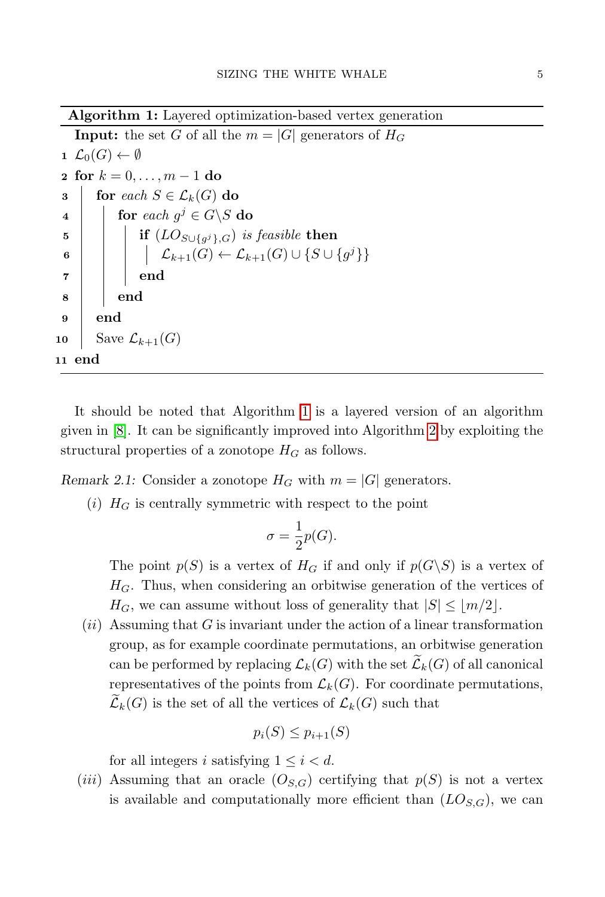Algorithm 1: Layered optimization-based vertex generation

```
Input: the set G of all the m = |G| generators of H_G1 \mathcal{L}_0(G) \leftarrow \emptyset2 for k = 0, ..., m - 1 do
  3 for each S \in \mathcal{L}_k(G) do
  \begin{array}{c|c} \textbf{4} & \textbf{1} & \textbf{for each } g^j \in G \backslash S \textbf{ do} \end{array}\mathfrak s | | | if (LO_{S\cup \{g^j\}, G}) is feasible then
  6 \Box \Box \mathcal{L}_{k+1}(G) \leftarrow \mathcal{L}_{k+1}(G) \cup \{S \cup \{g^j\}\}7 \mid \quad \mid \quad \text{end}8 | end
 9 end
10 Save \mathcal{L}_{k+1}(G)11 end
```
It should be noted that Algorithm [1](#page-3-0) is a layered version of an algorithm given in [\[8\]](#page-25-2). It can be significantly improved into Algorithm [2](#page-3-0) by exploiting the structural properties of a zonotope  $H_G$  as follows.

Remark 2.1: Consider a zonotope  $H_G$  with  $m = |G|$  generators.

(i)  $H_G$  is centrally symmetric with respect to the point

$$
\sigma=\frac{1}{2}p(G).
$$

The point  $p(S)$  is a vertex of  $H_G$  if and only if  $p(G\backslash S)$  is a vertex of  $H_G$ . Thus, when considering an orbitwise generation of the vertices of  $H_G$ , we can assume without loss of generality that  $|S| \leq |m/2|$ .

 $(ii)$  Assuming that G is invariant under the action of a linear transformation group, as for example coordinate permutations, an orbitwise generation can be performed by replacing  $\mathcal{L}_k(G)$  with the set  $\widetilde{\mathcal{L}}_k(G)$  of all canonical representatives of the points from  $\mathcal{L}_k(G)$ . For coordinate permutations,  $\mathcal{L}_k(G)$  is the set of all the vertices of  $\mathcal{L}_k(G)$  such that

$$
p_i(S) \le p_{i+1}(S)
$$

for all integers i satisfying  $1 \leq i < d$ .

(*iii*) Assuming that an oracle  $(O_{S,G})$  certifying that  $p(S)$  is not a vertex is available and computationally more efficient than  $(LO_{S,G})$ , we can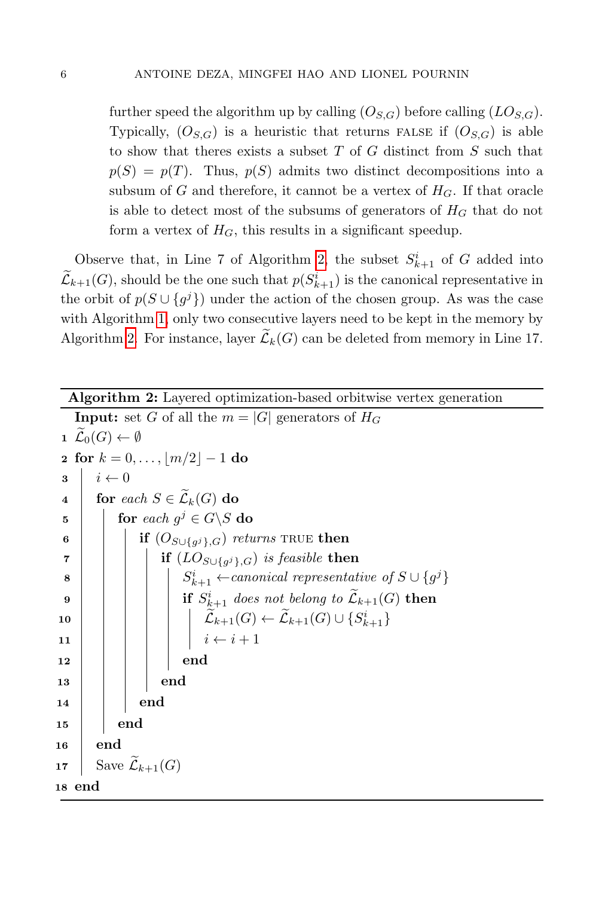further speed the algorithm up by calling  $(O_{S,G})$  before calling  $(LO_{S,G})$ . Typically,  $(O_{S,G})$  is a heuristic that returns FALSE if  $(O_{S,G})$  is able to show that theres exists a subset  $T$  of  $G$  distinct from  $S$  such that  $p(S) = p(T)$ . Thus,  $p(S)$  admits two distinct decompositions into a subsum of G and therefore, it cannot be a vertex of  $H_G$ . If that oracle is able to detect most of the subsums of generators of  $H_G$  that do not form a vertex of  $H_G$ , this results in a significant speedup.

Observe that, in Line 7 of Algorithm [2,](#page-3-0) the subset  $S_{k+1}^i$  of G added into  $\mathcal{L}_{k+1}(G)$ , should be the one such that  $p(S_{k+1}^i)$  is the canonical representative in the orbit of  $p(S \cup \{g^j\})$  under the action of the chosen group. As was the case with Algorithm [1,](#page-3-0) only two consecutive layers need to be kept in the memory by Algorithm [2.](#page-3-0) For instance, layer  $\widetilde{\mathcal{L}}_k(G)$  can be deleted from memory in Line 17.

Algorithm 2: Layered optimization-based orbitwise vertex generation

```
Input: set G of all the m = |G| generators of H_G\mathfrak{1} \widetilde{\mathcal{L}}_0(G) \leftarrow \emptyset2 for k = 0, \ldots, |m/2| - 1 do
 3 \mid i \leftarrow 04 for each S \in \widetilde{\mathcal{L}}_k(G) do
  \begin{array}{c|c|c|c} \textbf{5} & \textbf{for each } g^j \in G \backslash S \textbf{ do} \end{array}\mathfrak{g} \quad \begin{array}{|c|c|} \hline \quad & \quad \text{if} \,\, (O_{S \cup \{g^j\}, G}) \,\, returns \,\, \text{TRUE} \,\, then \end{array}\begin{array}{|c|c|c|}\hline \text{\bf \textit{r}} & & \text{\bf \textit{if}}\,\,\,(LO_{S\cup \{g^{j}\},G})\,\,is\,\,feasible\,\,\textbf{then} \end{array}8 | | | | | | S
                                        \mathcal{C}^{i}_{k+1} \leftarrowcanonical representative of S \cup \{g^j\}\mathbf{9} \quad | \quad | \quad | \quad \mathbf{1} \quad S^i_{\&+1} \; does \; not \; belong \; to \; \widetilde{\mathcal{L}}_{k+1}(G) \; \mathbf{then}10 Lek+1(G) ← Lek+1(G) ∪ {S
i
k+1}
 11 | | | | i \leftarrow i + 112 \vert \vert \vert \vert end
13 | | | | end
14 \parallel \parallel end
15 | end
16 end
17 Save \widetilde{\mathcal{L}}_{k+1}(G)18 end
```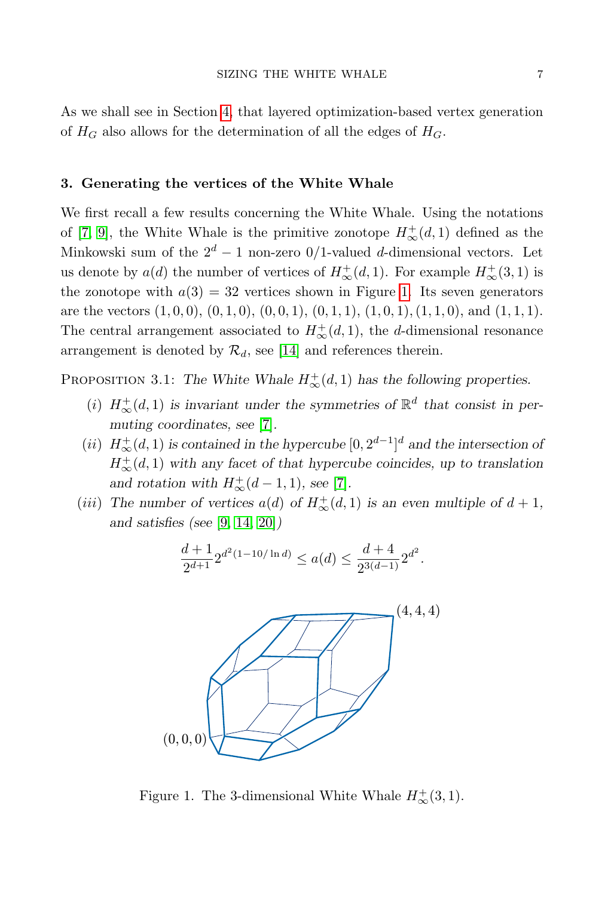As we shall see in Section [4,](#page-16-0) that layered optimization-based vertex generation of  $H_G$  also allows for the determination of all the edges of  $H_G$ .

# <span id="page-6-0"></span>3. Generating the vertices of the White Whale

We first recall a few results concerning the White Whale. Using the notations of [\[7,](#page-25-14) [9\]](#page-25-17), the White Whale is the primitive zonotope  $H^{\dagger}_{\infty}(d,1)$  defined as the Minkowski sum of the  $2^d - 1$  non-zero 0/1-valued d-dimensional vectors. Let us denote by  $a(d)$  the number of vertices of  $H^{\pm}_{\infty}(d, 1)$ . For example  $H^{\pm}_{\infty}(3, 1)$  is the zonotope with  $a(3) = 32$  vertices shown in Figure [1.](#page-6-1) Its seven generators are the vectors  $(1, 0, 0)$ ,  $(0, 1, 0)$ ,  $(0, 0, 1)$ ,  $(0, 1, 1)$ ,  $(1, 0, 1)$ ,  $(1, 1, 0)$ , and  $(1, 1, 1)$ . The central arrangement associated to  $H^+_{\infty}(d,1)$ , the d-dimensional resonance arrangement is denoted by  $\mathcal{R}_d$ , see [\[14\]](#page-25-9) and references therein.

<span id="page-6-2"></span>PROPOSITION 3.1: The White Whale  $H^+_{\infty}(d,1)$  has the following properties.

- (i)  $H^+_{\infty}(d,1)$  is invariant under the symmetries of  $\mathbb{R}^d$  that consist in permuting coordinates, see [\[7\]](#page-25-14).
- (*ii*)  $H^{\dagger}_{\infty}(d,1)$  is contained in the hypercube  $[0, 2^{d-1}]^d$  and the intersection of  $H^{\pm}_{\infty}(d,1)$  with any facet of that hypercube coincides, up to translation and rotation with  $H^+_{\infty}(d-1,1)$ , see [\[7\]](#page-25-14).
- (*iii*) The number of vertices  $a(d)$  of  $H^+_{\infty}(d, 1)$  is an even multiple of  $d + 1$ , and satisfies (see [\[9,](#page-25-17) [14,](#page-25-9) [20\]](#page-25-13))

$$
\frac{d+1}{2^{d+1}} 2^{d^2(1-10/\ln d)} \le a(d) \le \frac{d+4}{2^{3(d-1)}} 2^{d^2}.
$$



<span id="page-6-1"></span>Figure 1. The 3-dimensional White Whale  $H^+_{\infty}(3,1)$ .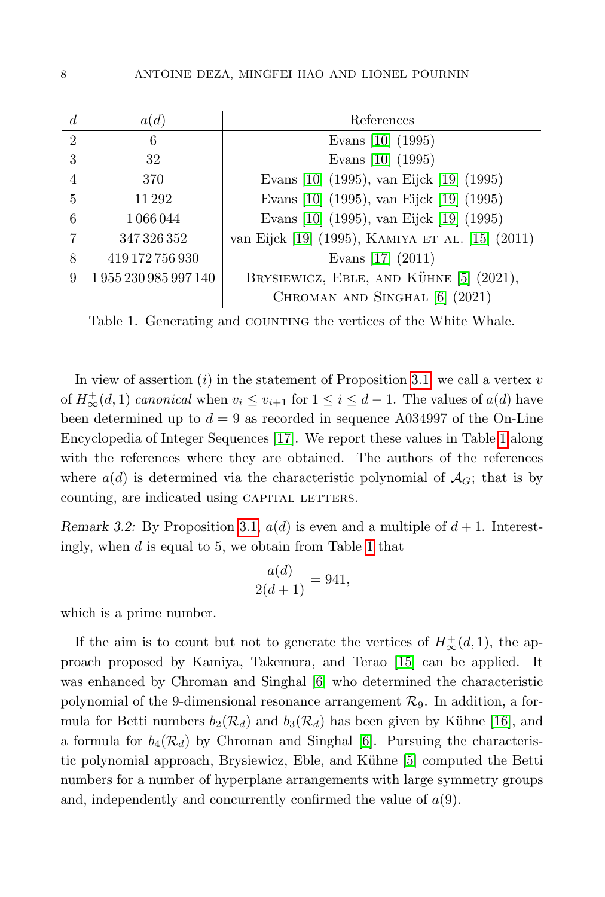| $\overline{d}$ | a(d)             | References                                       |
|----------------|------------------|--------------------------------------------------|
| $\mathcal{D}$  | 6                | Evans $[10]$ (1995)                              |
| 3              | 32               | Evans [10] (1995)                                |
| $\overline{4}$ | 370              | Evans [10] (1995), van Eijck [19] (1995)         |
| 5              | 11 29 2          | Evans [10] (1995), van Eijck [19] (1995)         |
| 6              | 1066044          | Evans [10] (1995), van Eijck [19] (1995)         |
| 7              | 347 326 352      | van Eijck [19] (1995), KAMIYA ET AL. [15] (2011) |
| 8              | 419 172 756 930  | Evans $[17]$ $(2011)$                            |
| 9              | 1955230985997140 | BRYSIEWICZ, EBLE, AND KÜHNE [5] (2021),          |
|                |                  | CHROMAN AND SINGHAL [6] (2021)                   |

<span id="page-7-0"></span>Table 1. Generating and COUNTING the vertices of the White Whale.

In view of assertion  $(i)$  in the statement of Proposition [3.1,](#page-6-2) we call a vertex v of  $H^{\pm}_{\infty}(d,1)$  canonical when  $v_i \le v_{i+1}$  for  $1 \le i \le d-1$ . The values of  $a(d)$  have been determined up to  $d = 9$  as recorded in sequence A034997 of the On-Line Encyclopedia of Integer Sequences [\[17\]](#page-25-18). We report these values in Table [1](#page-7-0) along with the references where they are obtained. The authors of the references where  $a(d)$  is determined via the characteristic polynomial of  $\mathcal{A}_G$ ; that is by counting, are indicated using CAPITAL LETTERS.

Remark 3.2: By Proposition [3.1,](#page-6-2)  $a(d)$  is even and a multiple of  $d+1$ . Interestingly, when  $d$  is equal to 5, we obtain from Table [1](#page-7-0) that

$$
\frac{a(d)}{2(d+1)} = 941,
$$

which is a prime number.

If the aim is to count but not to generate the vertices of  $H^{\text{+}}_{\infty}(d,1)$ , the approach proposed by Kamiya, Takemura, and Terao [\[15\]](#page-25-10) can be applied. It was enhanced by Chroman and Singhal [\[6\]](#page-25-7) who determined the characteristic polynomial of the 9-dimensional resonance arrangement  $\mathcal{R}_9$ . In addition, a formula for Betti numbers  $b_2(\mathcal{R}_d)$  and  $b_3(\mathcal{R}_d)$  has been given by Kühne [\[16\]](#page-25-11), and a formula for  $b_4(\mathcal{R}_d)$  by Chroman and Singhal [\[6\]](#page-25-7). Pursuing the characteris-tic polynomial approach, Brysiewicz, Eble, and Kühne [\[5\]](#page-25-6) computed the Betti numbers for a number of hyperplane arrangements with large symmetry groups and, independently and concurrently confirmed the value of  $a(9)$ .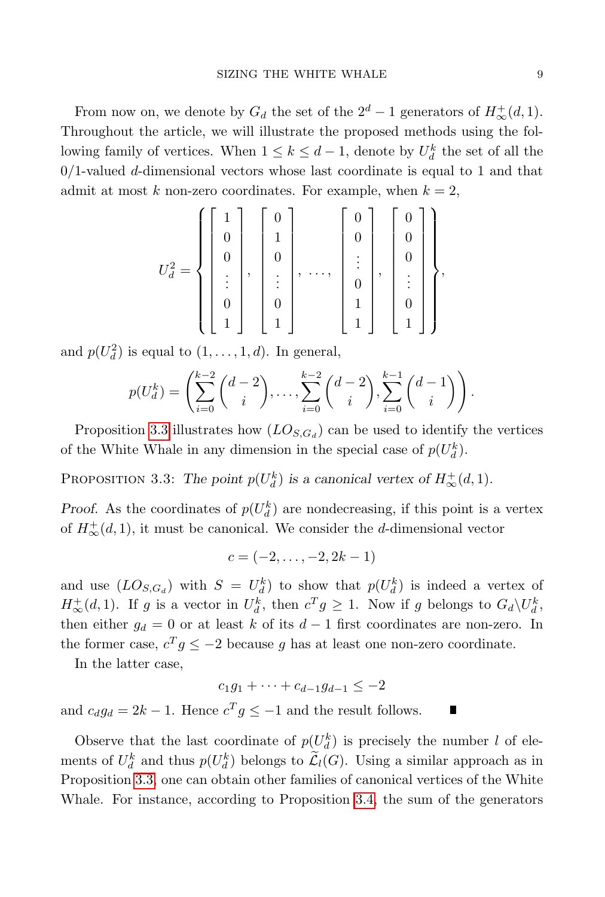From now on, we denote by  $G_d$  the set of the  $2^d - 1$  generators of  $H^{\pm}_{\infty}(d, 1)$ . Throughout the article, we will illustrate the proposed methods using the following family of vertices. When  $1 \leq k \leq d-1$ , denote by  $U_d^k$  the set of all the  $0/1$ -valued d-dimensional vectors whose last coordinate is equal to 1 and that admit at most k non-zero coordinates. For example, when  $k = 2$ ,

$$
U_d^2 = \left\{ \begin{bmatrix} 1 \\ 0 \\ 0 \\ \vdots \\ 0 \\ 1 \end{bmatrix}, \begin{bmatrix} 0 \\ 1 \\ 0 \\ \vdots \\ 0 \\ 1 \end{bmatrix}, \dots, \begin{bmatrix} 0 \\ 0 \\ \vdots \\ 0 \\ 1 \\ 1 \end{bmatrix}, \begin{bmatrix} 0 \\ 0 \\ \vdots \\ 0 \\ 1 \\ 1 \end{bmatrix} \right\},
$$

and  $p(U_d^2)$  is equal to  $(1,\ldots,1,d)$ . In general,

$$
p(U_a^k) = \left(\sum_{i=0}^{k-2} {d-2 \choose i}, \ldots, \sum_{i=0}^{k-2} {d-2 \choose i}, \sum_{i=0}^{k-1} {d-1 \choose i}\right).
$$

Proposition [3.3](#page-8-0) illustrates how  $(LO_{S,G_d})$  can be used to identify the vertices of the White Whale in any dimension in the special case of  $p(U_d^k)$ .

<span id="page-8-0"></span>PROPOSITION 3.3: The point  $p(U_d^k)$  is a canonical vertex of  $H^+_{\infty}(d, 1)$ .

Proof. As the coordinates of  $p(U_d^k)$  are nondecreasing, if this point is a vertex of  $H^{\dagger}_{\infty}(d,1)$ , it must be canonical. We consider the *d*-dimensional vector

$$
c=(-2,\ldots,-2,2k-1)
$$

and use  $(LO_{S,G_d})$  with  $S = U_d^k$  to show that  $p(U_d^k)$  is indeed a vertex of  $H^{\pm}_{\infty}(d,1)$ . If g is a vector in  $U_d^k$ , then  $c^T g \geq 1$ . Now if g belongs to  $G_d \backslash U_d^k$ , then either  $g_d = 0$  or at least k of its  $d-1$  first coordinates are non-zero. In the former case,  $c^T g \leq -2$  because g has at least one non-zero coordinate.

In the latter case,

$$
c_1 g_1 + \dots + c_{d-1} g_{d-1} \le -2
$$

and  $c_d g_d = 2k - 1$ . Hence  $c^T g \le -1$  and the result follows.

Observe that the last coordinate of  $p(U_d^k)$  is precisely the number l of elements of  $U_d^k$  and thus  $p(U_d^k)$  belongs to  $\tilde{\mathcal{L}}_l(G)$ . Using a similar approach as in Proposition [3.3,](#page-8-0) one can obtain other families of canonical vertices of the White Whale. For instance, according to Proposition [3.4,](#page-9-0) the sum of the generators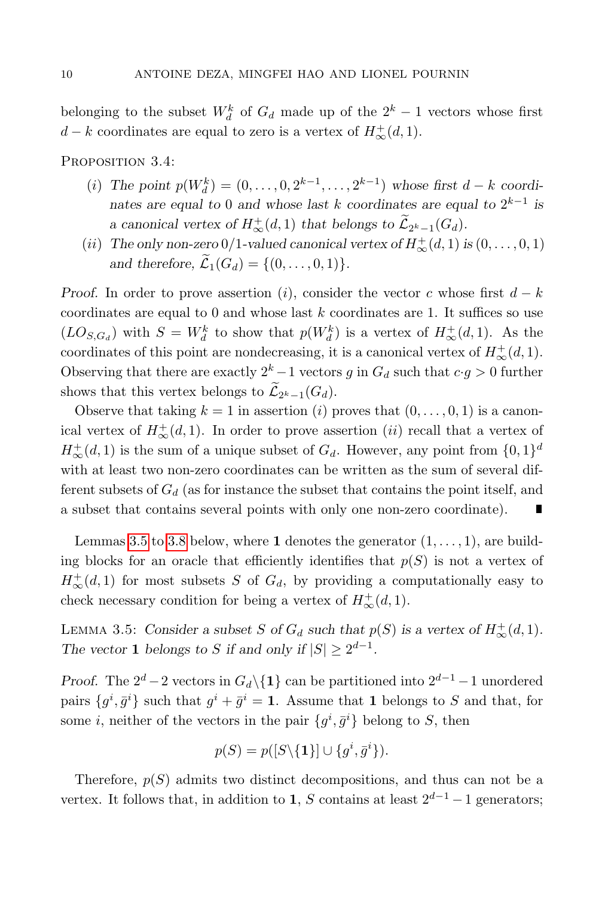belonging to the subset  $W_d^k$  of  $G_d$  made up of the  $2^k - 1$  vectors whose first  $d - k$  coordinates are equal to zero is a vertex of  $H^+_{\infty}(d, 1)$ .

<span id="page-9-0"></span>PROPOSITION 3.4:

- (*i*) The point  $p(W_d^k) = (0, ..., 0, 2^{k-1}, ..., 2^{k-1})$  whose first  $d k$  coordinates are equal to 0 and whose last k coordinates are equal to  $2^{k-1}$  is a canonical vertex of  $H^+_{\infty}(d,1)$  that belongs to  $\tilde{L}_{2^k-1}(G_d)$ .
- (*ii*) The only non-zero 0/1-valued canonical vertex of  $H^{\text{+}}_{\infty}(d, 1)$  is  $(0, \ldots, 0, 1)$ and therefore,  $\widetilde{\mathcal{L}}_1(G_d) = \{(0,\ldots,0,1)\}.$

Proof. In order to prove assertion (i), consider the vector c whose first  $d - k$ coordinates are equal to 0 and whose last  $k$  coordinates are 1. It suffices so use  $(LO_{S,G_d})$  with  $S = W_d^k$  to show that  $p(W_d^k)$  is a vertex of  $H^+_{\infty}(d,1)$ . As the coordinates of this point are nondecreasing, it is a canonical vertex of  $H^{\pm}_{\infty}(d, 1)$ . Observing that there are exactly  $2^k - 1$  vectors g in  $G_d$  such that  $c \cdot g > 0$  further shows that this vertex belongs to  $\mathcal{L}_{2^k-1}(G_d)$ .

Observe that taking  $k = 1$  in assertion (i) proves that  $(0, \ldots, 0, 1)$  is a canonical vertex of  $H^{\dagger}_{\infty}(d,1)$ . In order to prove assertion (*ii*) recall that a vertex of  $H^{\pm}_{\infty}(d, 1)$  is the sum of a unique subset of  $G_d$ . However, any point from  $\{0, 1\}^d$ with at least two non-zero coordinates can be written as the sum of several different subsets of  $G_d$  (as for instance the subset that contains the point itself, and a subset that contains several points with only one non-zero coordinate). Г

Lemmas [3.5](#page-9-1) to [3.8](#page-11-0) below, where 1 denotes the generator  $(1, \ldots, 1)$ , are building blocks for an oracle that efficiently identifies that  $p(S)$  is not a vertex of  $H^{\pm}_{\infty}(d,1)$  for most subsets S of  $G_d$ , by providing a computationally easy to check necessary condition for being a vertex of  $H^+_{\infty}(d, 1)$ .

<span id="page-9-1"></span>LEMMA 3.5: Consider a subset S of  $G_d$  such that  $p(S)$  is a vertex of  $H^+_{\infty}(d, 1)$ . The vector 1 belongs to S if and only if  $|S| \ge 2^{d-1}$ .

Proof. The  $2^d - 2$  vectors in  $G_d \setminus \{1\}$  can be partitioned into  $2^{d-1} - 1$  unordered pairs  $\{g^i, \bar{g}^i\}$  such that  $g^i + \bar{g}^i = 1$ . Assume that 1 belongs to S and that, for some *i*, neither of the vectors in the pair  $\{g^i, \bar{g}^i\}$  belong to *S*, then

$$
p(S) = p([S \setminus \{1\}] \cup \{g^i, \bar{g}^i\}).
$$

Therefore,  $p(S)$  admits two distinct decompositions, and thus can not be a vertex. It follows that, in addition to 1, S contains at least  $2^{d-1} - 1$  generators;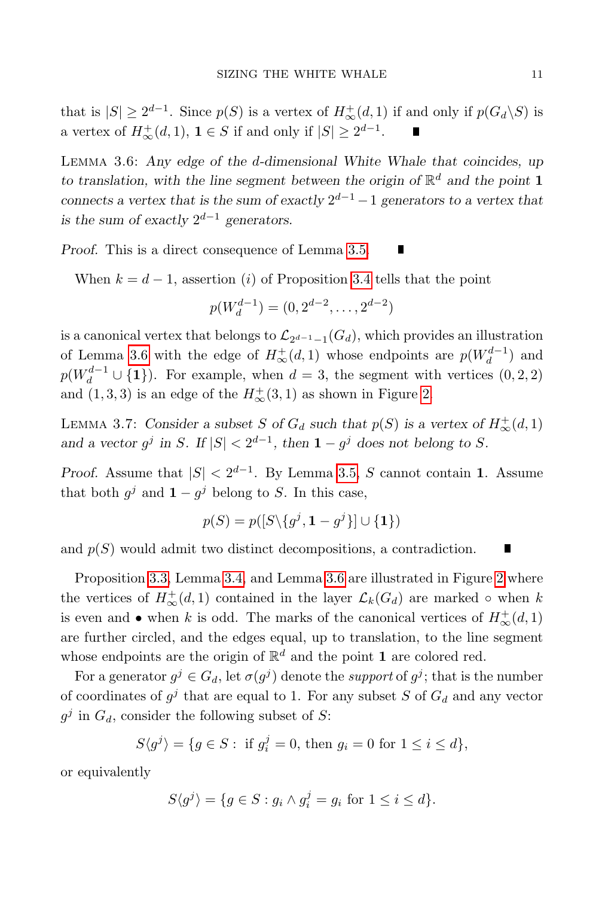that is  $|S| \ge 2^{d-1}$ . Since  $p(S)$  is a vertex of  $H^+_{\infty}(d,1)$  if and only if  $p(G_d \backslash S)$  is a vertex of  $H^+_{\infty}(d,1)$ ,  $1 \in S$  if and only if  $|S| \geq 2^{d-1}$ .

<span id="page-10-0"></span>Lemma 3.6: Any edge of the d-dimensional White Whale that coincides, up to translation, with the line segment between the origin of  $\mathbb{R}^d$  and the point 1 connects a vertex that is the sum of exactly  $2^{d-1} - 1$  generators to a vertex that is the sum of exactly  $2^{d-1}$  generators.

Proof. This is a direct consequence of Lemma [3.5.](#page-9-1)  $\blacksquare$ 

When  $k = d - 1$ , assertion (i) of Proposition [3.4](#page-9-0) tells that the point

$$
p(W_d^{d-1}) = (0, 2^{d-2}, \dots, 2^{d-2})
$$

is a canonical vertex that belongs to  $\mathcal{L}_{2^{d-1}-1}(G_d)$ , which provides an illustration of Lemma [3.6](#page-10-0) with the edge of  $H^{\pm}_{\infty}(d,1)$  whose endpoints are  $p(W_d^{d-1})$  and  $p(W_d^{d-1} \cup \{1\})$ . For example, when  $d = 3$ , the segment with vertices  $(0, 2, 2)$ and  $(1,3,3)$  is an edge of the  $H^{\text{+}}_{\infty}(3,1)$  as shown in Figure [2.](#page-11-1)

<span id="page-10-1"></span>LEMMA 3.7: Consider a subset S of  $G_d$  such that  $p(S)$  is a vertex of  $H^+_{\infty}(d, 1)$ and a vector  $g^j$  in S. If  $|S| < 2^{d-1}$ , then  $1 - g^j$  does not belong to S.

*Proof.* Assume that  $|S| < 2^{d-1}$ . By Lemma [3.5,](#page-9-1) S cannot contain 1. Assume that both  $g^j$  and  $1 - g^j$  belong to S. In this case,

$$
p(S) = p([S \setminus \{g^j, \mathbf{1} - g^j\}] \cup \{\mathbf{1}\})
$$

and  $p(S)$  would admit two distinct decompositions, a contradiction.

Proposition [3.3,](#page-8-0) Lemma [3.4,](#page-9-0) and Lemma [3.6](#page-10-0) are illustrated in Figure [2](#page-11-1) where the vertices of  $H^+_{\infty}(d,1)$  contained in the layer  $\mathcal{L}_k(G_d)$  are marked  $\circ$  when k is even and • when k is odd. The marks of the canonical vertices of  $H^{\pm}_{\infty}(d,1)$ are further circled, and the edges equal, up to translation, to the line segment whose endpoints are the origin of  $\mathbb{R}^d$  and the point 1 are colored red.

For a generator  $g^j \in G_d$ , let  $\sigma(g^j)$  denote the *support* of  $g^j$ ; that is the number of coordinates of  $g^j$  that are equal to 1. For any subset S of  $G_d$  and any vector  $g^j$  in  $G_d$ , consider the following subset of S:

$$
S\langle g^j\rangle = \{g\in S: \text{ if } g_i^j = 0, \text{ then } g_i = 0 \text{ for } 1\leq i\leq d\},
$$

or equivalently

$$
S\langle g^j\rangle = \{g \in S : g_i \wedge g_i^j = g_i \text{ for } 1 \le i \le d\}.
$$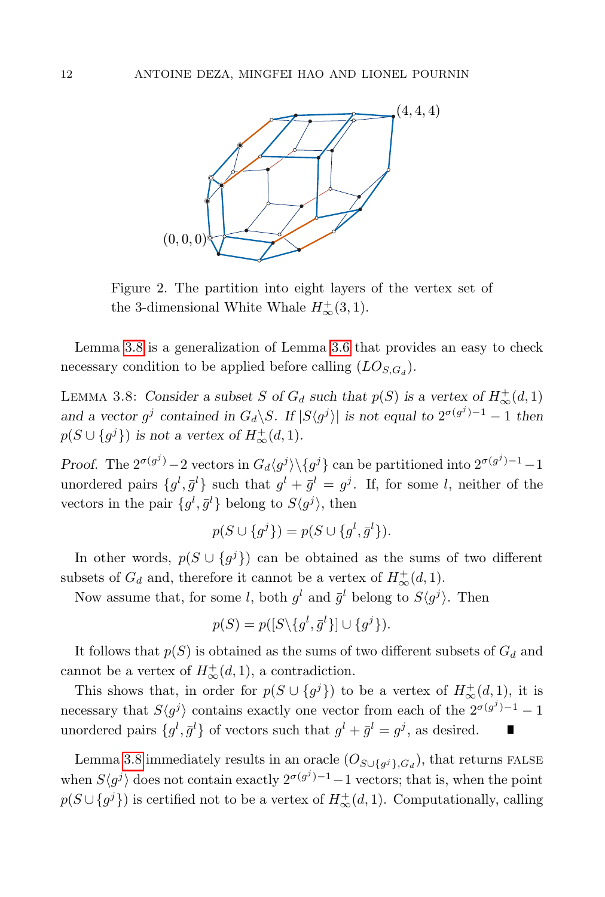

<span id="page-11-1"></span>Figure 2. The partition into eight layers of the vertex set of the 3-dimensional White Whale  $H^+_{\infty}(3,1)$ .

Lemma [3.8](#page-11-0) is a generalization of Lemma [3.6](#page-10-0) that provides an easy to check necessary condition to be applied before calling  $(LO_{S,G_d})$ .

<span id="page-11-0"></span>LEMMA 3.8: Consider a subset S of  $G_d$  such that  $p(S)$  is a vertex of  $H^+_{\infty}(d, 1)$ and a vector  $g^j$  contained in  $G_d \backslash S$ . If  $|S \langle g^j \rangle|$  is not equal to  $2^{\sigma(g^j)-1} - 1$  then  $p(S \cup \{g^j\})$  is not a vertex of  $H^{\pm}_{\infty}(d, 1)$ .

Proof. The  $2^{\sigma(g^j)} - 2$  vectors in  $G_d \langle g^j \rangle \setminus \{g^j\}$  can be partitioned into  $2^{\sigma(g^j)} - 1 - 1$ unordered pairs  $\{g^l, \bar{g}^l\}$  such that  $g^l + \bar{g}^l = g^j$ . If, for some l, neither of the vectors in the pair  $\{g^l, \bar{g}^l\}$  belong to  $S\langle g^j \rangle$ , then

$$
p(S \cup \{g^{j}\}) = p(S \cup \{g^{l}, \bar{g}^{l}\}).
$$

In other words,  $p(S \cup \{g^j\})$  can be obtained as the sums of two different subsets of  $G_d$  and, therefore it cannot be a vertex of  $H^+_{\infty}(d, 1)$ .

Now assume that, for some l, both  $g^l$  and  $\bar{g}^l$  belong to  $S\langle g^j \rangle$ . Then

$$
p(S) = p([S \setminus \{g^l, \bar{g}^l\}] \cup \{g^j\}).
$$

It follows that  $p(S)$  is obtained as the sums of two different subsets of  $G_d$  and cannot be a vertex of  $H^{\dagger}_{\infty}(d,1)$ , a contradiction.

This shows that, in order for  $p(S \cup \{g^j\})$  to be a vertex of  $H^{\text{+}}_{\infty}(d,1)$ , it is necessary that  $S\langle g^j \rangle$  contains exactly one vector from each of the  $2^{\sigma(g^j)-1}-1$ unordered pairs  $\{g^l, \bar{g}^l\}$  of vectors such that  $g^l + \bar{g}^l = g^j$ , as desired.

Lemma [3.8](#page-11-0) immediately results in an oracle  $(O_{S\cup \{g^j\}, G_d})$ , that returns FALSE when  $S\langle g^j \rangle$  does not contain exactly  $2^{\sigma(g^j)-1}-1$  vectors; that is, when the point  $p(S \cup \{g^j\})$  is certified not to be a vertex of  $H^{\pm}_{\infty}(d, 1)$ . Computationally, calling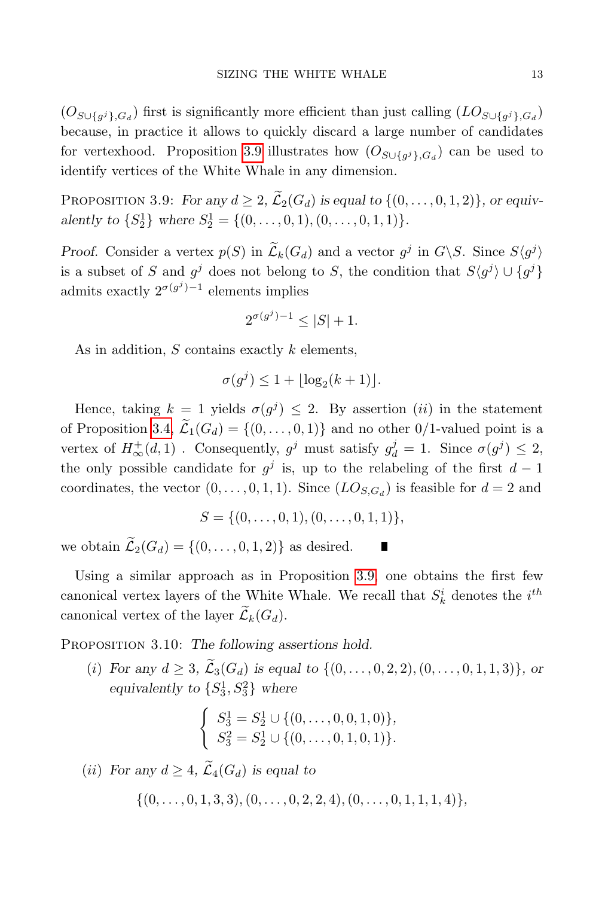$(O_{S \cup \{g^j\}, G_d})$  first is significantly more efficient than just calling  $(LO_{S \cup \{g^j\}, G_d})$ because, in practice it allows to quickly discard a large number of candidates for vertexhood. Proposition [3.9](#page-12-0) illustrates how  $(O_{S \cup \{g^j\}, G_d})$  can be used to identify vertices of the White Whale in any dimension.

<span id="page-12-0"></span>PROPOSITION 3.9: For any  $d \geq 2$ ,  $\widetilde{\mathcal{L}}_2(G_d)$  is equal to  $\{(0,\ldots,0,1,2)\}\)$ , or equivalently to  $\{S_2^1\}$  where  $S_2^1 = \{(0, \ldots, 0, 1), (0, \ldots, 0, 1, 1)\}.$ 

Proof. Consider a vertex  $p(S)$  in  $\tilde{\mathcal{L}}_k(G_d)$  and a vector  $g^j$  in  $G\backslash S$ . Since  $S\langle g^j\rangle$ is a subset of S and  $g^j$  does not belong to S, the condition that  $S\langle g^j \rangle \cup \{g^j\}$ admits exactly  $2^{\sigma(g^j)-1}$  elements implies

$$
2^{\sigma(g^j)-1} \le |S| + 1.
$$

As in addition,  $S$  contains exactly  $k$  elements,

$$
\sigma(g^j) \le 1 + \lfloor \log_2(k+1) \rfloor.
$$

Hence, taking  $k = 1$  yields  $\sigma(g^j) \leq 2$ . By assertion *(ii)* in the statement of Proposition [3.4,](#page-9-0)  $\widetilde{\mathcal{L}}_1(G_d) = \{(0,\ldots,0,1)\}\$ and no other 0/1-valued point is a vertex of  $H^+_{\infty}(d,1)$ . Consequently,  $g^j$  must satisfy  $g^j_d = 1$ . Since  $\sigma(g^j) \leq 2$ , the only possible candidate for  $g^j$  is, up to the relabeling of the first  $d-1$ coordinates, the vector  $(0, \ldots, 0, 1, 1)$ . Since  $(LO_{S, G_d})$  is feasible for  $d = 2$  and

$$
S = \{(0, \ldots, 0, 1), (0, \ldots, 0, 1, 1)\},\
$$

Г

we obtain  $\widetilde{\mathcal{L}}_2(G_d) = \{(0, \ldots, 0, 1, 2)\}\)$  as desired.

Using a similar approach as in Proposition [3.9,](#page-12-0) one obtains the first few canonical vertex layers of the White Whale. We recall that  $S_k^i$  denotes the  $i^{th}$ canonical vertex of the layer  $\widetilde{\mathcal{L}}_k(G_d)$ .

PROPOSITION 3.10: The following assertions hold.

(i) For any  $d \geq 3$ ,  $\widetilde{\mathcal{L}}_3(G_d)$  is equal to  $\{(0, \ldots, 0, 2, 2), (0, \ldots, 0, 1, 1, 3)\},$  or equivalently to  $\{S_3^1, S_3^2\}$  where

$$
\begin{cases}\nS_3^1 = S_2^1 \cup \{ (0, \ldots, 0, 0, 1, 0) \}, \\
S_3^2 = S_2^1 \cup \{ (0, \ldots, 0, 1, 0, 1) \}.\n\end{cases}
$$

(*ii*) For any  $d \geq 4$ ,  $\widetilde{\mathcal{L}}_4(G_d)$  is equal to

 $\{(0, \ldots, 0, 1, 3, 3), (0, \ldots, 0, 2, 2, 4), (0, \ldots, 0, 1, 1, 1, 4)\}.$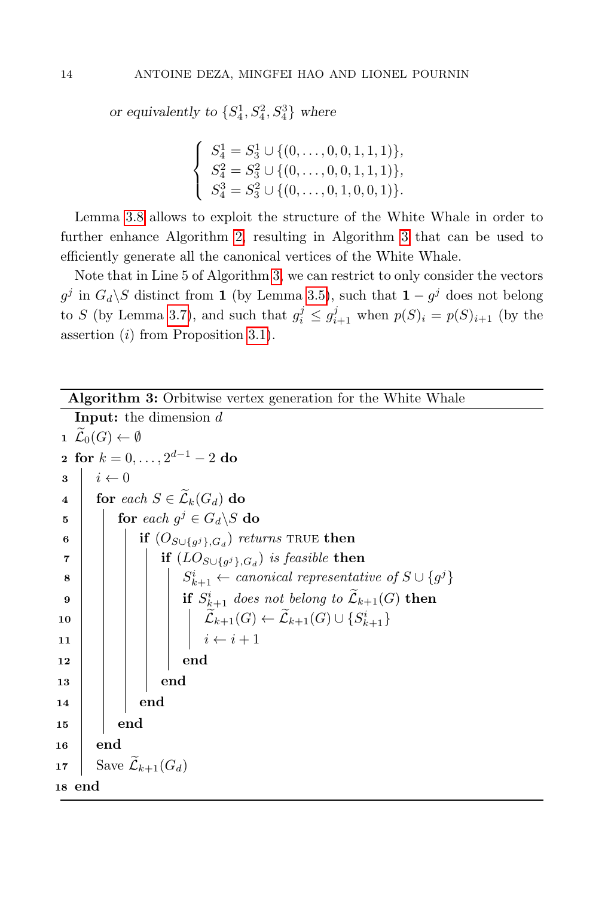or equivalently to  $\{S_4^1, S_4^2, S_4^3\}$  where

$$
\begin{cases}\nS_4^1 = S_3^1 \cup \{ (0, \ldots, 0, 0, 1, 1, 1) \}, \\
S_4^2 = S_3^2 \cup \{ (0, \ldots, 0, 0, 1, 1, 1) \}, \\
S_4^3 = S_3^2 \cup \{ (0, \ldots, 0, 1, 0, 0, 1) \}.\n\end{cases}
$$

Lemma [3.8](#page-11-0) allows to exploit the structure of the White Whale in order to further enhance Algorithm [2,](#page-3-0) resulting in Algorithm [3](#page-13-0) that can be used to efficiently generate all the canonical vertices of the White Whale.

<span id="page-13-0"></span>Note that in Line 5 of Algorithm [3,](#page-13-0) we can restrict to only consider the vectors  $g^j$  in  $G_d \backslash S$  distinct from 1 (by Lemma [3.5\)](#page-9-1), such that  $1 - g^j$  does not belong to S (by Lemma [3.7\)](#page-10-1), and such that  $g_i^j \leq g_{i+1}^j$  when  $p(S)_i = p(S)_{i+1}$  (by the assertion  $(i)$  from Proposition [3.1\)](#page-6-2).

| Algorithm 3: Orbitwise vertex generation for the White Whale |  |  |  |  |  |  |  |
|--------------------------------------------------------------|--|--|--|--|--|--|--|
|--------------------------------------------------------------|--|--|--|--|--|--|--|

```
Input: the dimension d1 \mathcal{L}_0(G) \leftarrow \emptyset2 for k = 0, \ldots, 2^{d-1} - 2 do
 3 \mid i \leftarrow 04 for each S \in \widetilde{\mathcal{L}}_k(G_d) do
  \begin{array}{c|c} \texttt{5} & \texttt{for each } g^j \in G_d \backslash S \textbf{ do} \end{array}\mathfrak{g} \quad \Big\vert \quad \Big\vert \quad \mathbf{if} \; (O_{S \cup \{g^j\}, G_d}) \; \textit{returns} \; \text{TRUE} \; \mathbf{then}\begin{array}{|c|c|c|}\hline \text{\bf \textit{r}} & | & | & \text{\bf \textit{if}}\,\, (LO_{S\cup \{g^j\}, G_d})\,\, \textit{is feasible} \textbf{ then} \end{array}8 | | | | | | S
                                           \mathcal{C}^{i}_{k+1} \leftarrow \mathit{canonical}\,\, \mathit{representative}\,\, \mathit{of}\,\, S \cup \{g^{j}\}\mathbf{9} \quad | \quad | \quad | \quad \mathbf{1} \quad S^i_{\&+1} \; does \; not \; belong \; to \; \widetilde{\mathcal{L}}_{k+1}(G) \; \mathbf{then}10 Lek+1(G) ← Lek+1(G) ∪ {S
i
k+1}
 11 | | | | i \leftarrow i + 112 \vert \vert \vert \vert \vert end
13 \mid \cdot \cdot \cdot \cdot \cdot end
14 \parallel \parallel end
15 end
16 end
17 Save \widetilde{\mathcal{L}}_{k+1}(G_d)18 end
```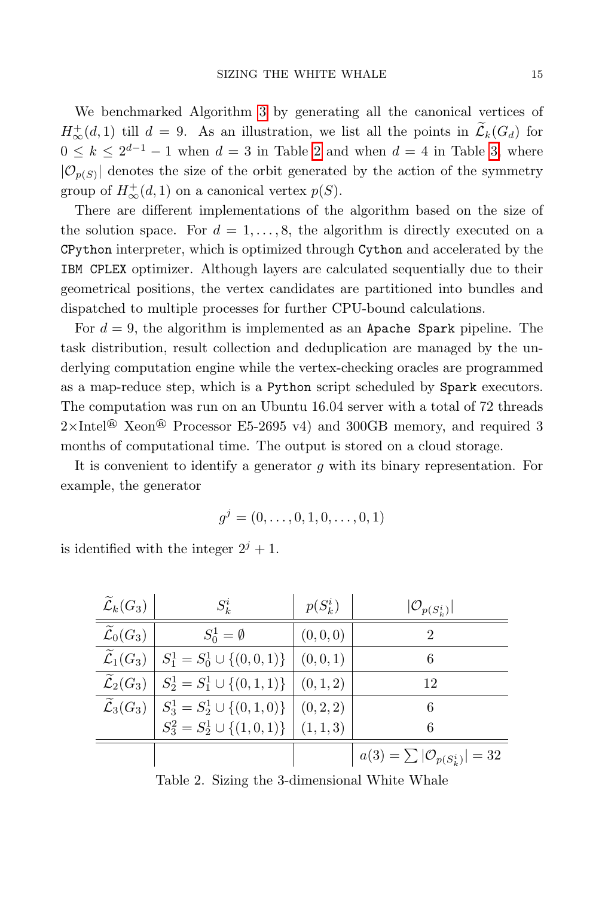We benchmarked Algorithm [3](#page-13-0) by generating all the canonical vertices of  $H^+_{\infty}(d,1)$  till  $d=9$ . As an illustration, we list all the points in  $\mathcal{L}_k(G_d)$  for  $0 \leq k \leq 2^{d-1} - 1$  $0 \leq k \leq 2^{d-1} - 1$  $0 \leq k \leq 2^{d-1} - 1$  when  $d = 3$  in Table 2 and when  $d = 4$  in Table [3,](#page-15-0) where  $|\mathcal{O}_{p(S)}|$  denotes the size of the orbit generated by the action of the symmetry group of  $H^+_{\infty}(d, 1)$  on a canonical vertex  $p(S)$ .

There are different implementations of the algorithm based on the size of the solution space. For  $d = 1, \ldots, 8$ , the algorithm is directly executed on a CPython interpreter, which is optimized through Cython and accelerated by the IBM CPLEX optimizer. Although layers are calculated sequentially due to their geometrical positions, the vertex candidates are partitioned into bundles and dispatched to multiple processes for further CPU-bound calculations.

For  $d = 9$ , the algorithm is implemented as an Apache Spark pipeline. The task distribution, result collection and deduplication are managed by the underlying computation engine while the vertex-checking oracles are programmed as a map-reduce step, which is a Python script scheduled by Spark executors. The computation was run on an Ubuntu 16.04 server with a total of 72 threads  $2\times$ Intel<sup>®</sup> Xeon<sup>®</sup> Processor E5-2695 v4) and 300GB memory, and required 3 months of computational time. The output is stored on a cloud storage.

It is convenient to identify a generator  $q$  with its binary representation. For example, the generator

$$
g^j = (0, \ldots, 0, 1, 0, \ldots, 0, 1)
$$

is identified with the integer  $2^{j} + 1$ .

| $\widetilde{\mathcal{L}}_k(G_3)$ | $S_k^i$                                                                                                                                    | $p(S_k^i)$ | $ \mathcal{O}_{p(S_k^i)} $                   |
|----------------------------------|--------------------------------------------------------------------------------------------------------------------------------------------|------------|----------------------------------------------|
| $\widetilde{\mathcal{L}}_0(G_3)$ | $S_0^1 = \emptyset$                                                                                                                        | (0,0,0)    | 2                                            |
| $\widetilde{\mathcal{L}}_1(G_3)$ | $S_1^1 = S_0^1 \cup \{(0,0,1)\}\$                                                                                                          | (0,0,1)    | 6                                            |
| $\widetilde{\mathcal{L}}_2(G_3)$ | $S_2^1 = S_1^1 \cup \{(0,1,1)\}\$                                                                                                          | (0, 1, 2)  | 12                                           |
|                                  | $\widetilde{\mathcal{L}}_3(G_3)$ $\begin{array}{c} S_3^1 = S_2^1 \cup \{(0,1,0)\} \\ S_3^2 = S_2^1 \cup \{(1,0,1)\} \end{array}$ $(0,2,2)$ |            | 6                                            |
|                                  |                                                                                                                                            |            | 6                                            |
|                                  |                                                                                                                                            |            | $a(3) = \sum  {\cal O}_{p(S_{k}^{i})}  = 32$ |

<span id="page-14-0"></span>Table 2. Sizing the 3-dimensional White Whale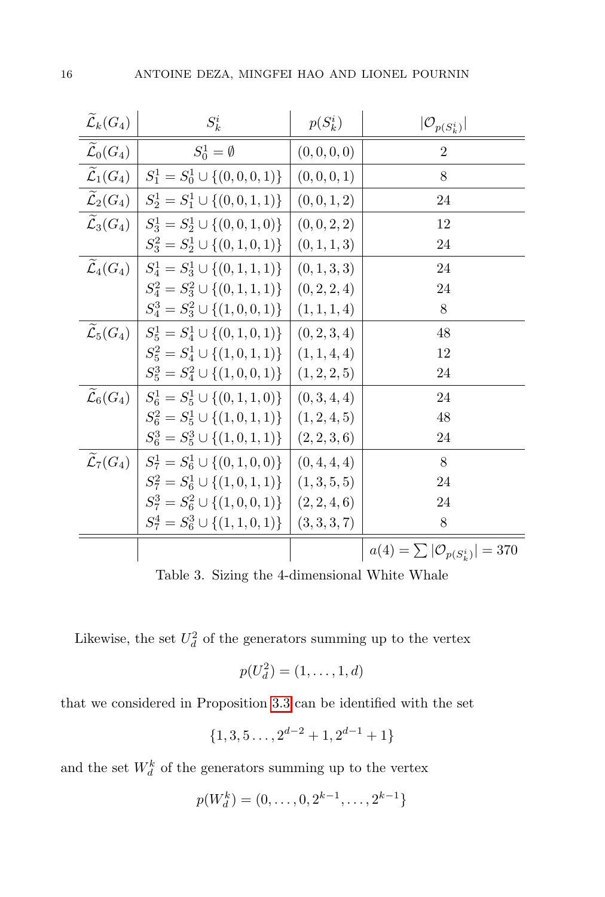| $\widetilde{\mathcal{L}}_k(G_4)$ | $S_k^i$                                                                                   | $p(S_k^i)$ | $ \mathcal{O}_{p(S^i_k)} $                   |
|----------------------------------|-------------------------------------------------------------------------------------------|------------|----------------------------------------------|
| $\widetilde{\mathcal{L}}_0(G_4)$ | $S_0^1 = \emptyset$                                                                       | (0,0,0,0)  | $\overline{2}$                               |
| $\widetilde{\mathcal{L}}_1(G_4)$ | $S_1^1 = S_0^1 \cup \{(0,0,0,1)\}\$                                                       | (0,0,0,1)  | 8                                            |
| $\widetilde{\mathcal{L}}_2(G_4)$ | $S_2^1 = S_1^1 \cup \{(0,0,1,1)\}\$                                                       | (0,0,1,2)  | 24                                           |
| $\widetilde{\mathcal{L}}_3(G_4)$ | $S_3^1 = S_2^1 \cup \{(0,0,1,0)\}\$                                                       | (0,0,2,2)  | 12                                           |
|                                  | $S_3^2 = S_2^1 \cup \{(0,1,0,1)\}$ $(0,1,1,3)$                                            |            | 24                                           |
| $\widetilde{\mathcal{L}}_4(G_4)$ | $S_4^1 = S_3^1 \cup \{(0,1,1,1)\}\$                                                       | (0,1,3,3)  | 24                                           |
|                                  | $S_4^2 = S_3^2 \cup \{(0,1,1,1)\}\mid (0,2,2,4)$                                          |            | 24                                           |
|                                  | $S_4^3 = S_3^2 \cup \{(1,0,0,1)\}$ (1, 1, 1, 4)                                           |            | 8                                            |
|                                  | $\widetilde{\mathcal{L}}_5(G_4)$ $\mid S_5^1 = S_4^1 \cup \{(0,1,0,1)\}$ $\mid (0,2,3,4)$ |            | 48                                           |
|                                  | $S_5^2 = S_4^1 \cup \{(1,0,1,1)\}$ (1, 1, 4, 4)                                           |            | 12                                           |
|                                  | $S_5^3 = S_4^2 \cup \{(1,0,0,1)\}$ $(1,2,2,5)$                                            |            | 24                                           |
| $\mathcal{L}_6(G_4)$             | $S_6^1 = S_5^1 \cup \{(0,1,1,0)\}\mid (0,3,4,4)$                                          |            | 24                                           |
|                                  | $S_6^2 = S_5^1 \cup \{(1,0,1,1)\}$ $(1,2,4,5)$                                            |            | 48                                           |
|                                  | $S_6^3 = S_5^3 \cup \{(1,0,1,1)\}$ (2, 2, 3, 6)                                           |            | 24                                           |
| $\widetilde{\mathcal{L}}_7(G_4)$ | $S_7^1 = S_6^1 \cup \{(0,1,0,0)\}\mid (0,4,4,4)$                                          |            | 8                                            |
|                                  | $S_7^2 = S_6^1 \cup \{(1,0,1,1)\}$ (1,3,5,5)                                              |            | 24                                           |
|                                  | $S_7^3 = S_6^2 \cup \{(1,0,0,1)\}$ (2, 2, 4, 6)                                           |            | 24                                           |
|                                  | $S_7^4 = S_6^3 \cup \{(1,1,0,1)\}$ (3,3,3,7)                                              |            | 8                                            |
|                                  |                                                                                           |            | $a(4) = \sum  \mathcal{O}_{p(S_i^i)}  = 370$ |

<span id="page-15-0"></span>Table 3. Sizing the 4-dimensional White Whale

Likewise, the set  $U_d^2$  of the generators summing up to the vertex

$$
p(U_d^2) = (1, \ldots, 1, d)
$$

that we considered in Proposition [3.3](#page-8-0) can be identified with the set

$$
\{1,3,5\ldots,2^{d-2}+1,2^{d-1}+1\}
$$

and the set  $W_d^k$  of the generators summing up to the vertex

$$
p(W_d^k) = (0, \dots, 0, 2^{k-1}, \dots, 2^{k-1})
$$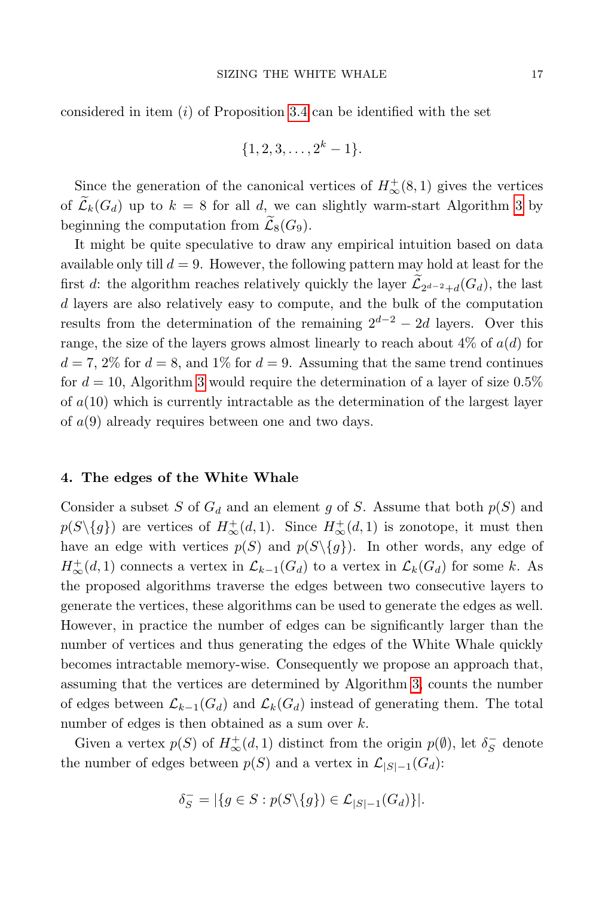considered in item  $(i)$  of Proposition [3.4](#page-9-0) can be identified with the set

$$
\{1, 2, 3, \ldots, 2^k - 1\}.
$$

Since the generation of the canonical vertices of  $H^{\text{+}}_{\infty}(8,1)$  gives the vertices of  $\widetilde{\mathcal{L}}_k(G_d)$  up to  $k = 8$  for all d, we can slightly warm-start Algorithm [3](#page-13-0) by beginning the computation from  $\mathcal{L}_8(G_9)$ .

It might be quite speculative to draw any empirical intuition based on data available only till  $d = 9$ . However, the following pattern may hold at least for the first d: the algorithm reaches relatively quickly the layer  $\mathcal{L}_{2^{d-2}+d}(G_d)$ , the last d layers are also relatively easy to compute, and the bulk of the computation results from the determination of the remaining  $2^{d-2} - 2d$  layers. Over this range, the size of the layers grows almost linearly to reach about  $4\%$  of  $a(d)$  for  $d = 7, 2\%$  for  $d = 8$ , and 1% for  $d = 9$ . Assuming that the same trend continues for  $d = 10$ , Algorithm [3](#page-13-0) would require the determination of a layer of size 0.5% of  $a(10)$  which is currently intractable as the determination of the largest layer of  $a(9)$  already requires between one and two days.

### <span id="page-16-0"></span>4. The edges of the White Whale

Consider a subset S of  $G_d$  and an element g of S. Assume that both  $p(S)$  and  $p(S\setminus\{g\})$  are vertices of  $H^+_{\infty}(d,1)$ . Since  $H^+_{\infty}(d,1)$  is zonotope, it must then have an edge with vertices  $p(S)$  and  $p(S\setminus\{g\})$ . In other words, any edge of  $H^{\pm}_{\infty}(d,1)$  connects a vertex in  $\mathcal{L}_{k-1}(G_d)$  to a vertex in  $\mathcal{L}_k(G_d)$  for some k. As the proposed algorithms traverse the edges between two consecutive layers to generate the vertices, these algorithms can be used to generate the edges as well. However, in practice the number of edges can be significantly larger than the number of vertices and thus generating the edges of the White Whale quickly becomes intractable memory-wise. Consequently we propose an approach that, assuming that the vertices are determined by Algorithm [3,](#page-13-0) counts the number of edges between  $\mathcal{L}_{k-1}(G_d)$  and  $\mathcal{L}_k(G_d)$  instead of generating them. The total number of edges is then obtained as a sum over  $k$ .

Given a vertex  $p(S)$  of  $H^{\pm}_{\infty}(d, 1)$  distinct from the origin  $p(\emptyset)$ , let  $\delta_S^-$  denote the number of edges between  $p(S)$  and a vertex in  $\mathcal{L}_{|S|-1}(G_d)$ :

$$
\delta_S^-=|\{g\in S: p(S\backslash \{g\})\in \mathcal{L}_{|S|-1}(G_d)\}|.
$$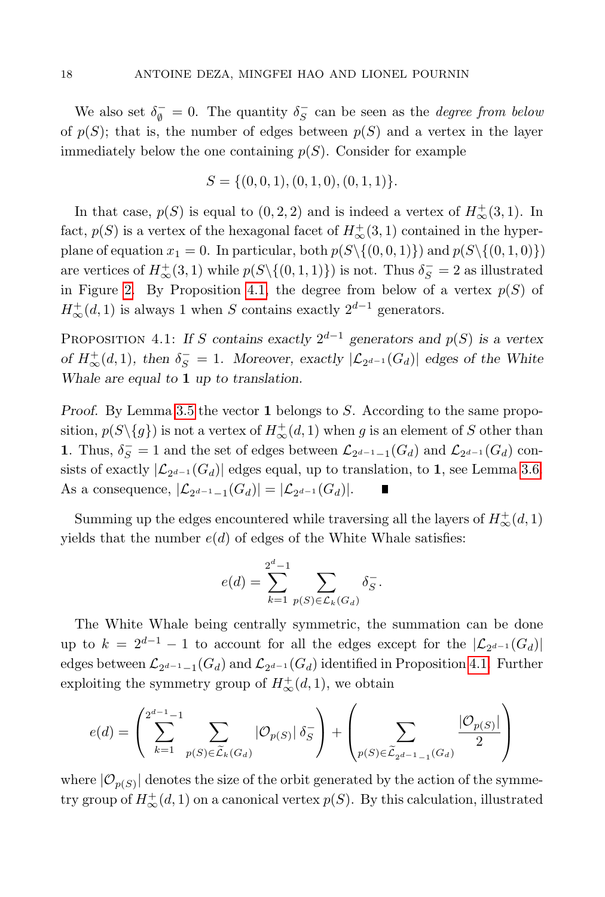We also set  $\delta_{\emptyset}^{-} = 0$ . The quantity  $\delta_{S}^{-}$  can be seen as the *degree from below* of  $p(S)$ ; that is, the number of edges between  $p(S)$  and a vertex in the layer immediately below the one containing  $p(S)$ . Consider for example

$$
S = \{(0, 0, 1), (0, 1, 0), (0, 1, 1)\}.
$$

In that case,  $p(S)$  is equal to  $(0, 2, 2)$  and is indeed a vertex of  $H^+_{\infty}(3, 1)$ . In fact,  $p(S)$  is a vertex of the hexagonal facet of  $H^{\pm}_{\infty}(3,1)$  contained in the hyperplane of equation  $x_1 = 0$ . In particular, both  $p(S\setminus\{(0, 0, 1)\})$  and  $p(S\setminus\{(0, 1, 0)\})$ are vertices of  $H^{\pm}_{\infty}(3,1)$  while  $p(S \setminus \{(0,1,1)\})$  is not. Thus  $\delta_S^- = 2$  as illustrated in Figure [2.](#page-11-1) By Proposition [4.1,](#page-17-0) the degree from below of a vertex  $p(S)$  of  $H^+_{\infty}(d, 1)$  is always 1 when S contains exactly  $2^{d-1}$  generators.

<span id="page-17-0"></span>PROPOSITION 4.1: If S contains exactly  $2^{d-1}$  generators and  $p(S)$  is a vertex of  $H^+_{\infty}(d,1)$ , then  $\delta_S^- = 1$ . Moreover, exactly  $|\mathcal{L}_{2^{d-1}}(G_d)|$  edges of the White Whale are equal to 1 up to translation.

Proof. By Lemma [3.5](#page-9-1) the vector 1 belongs to S. According to the same proposition,  $p(S \setminus \{g\})$  is not a vertex of  $H^{\pm}_{\infty}(d, 1)$  when g is an element of S other than 1. Thus,  $\delta_S^- = 1$  and the set of edges between  $\mathcal{L}_{2^{d-1}-1}(G_d)$  and  $\mathcal{L}_{2^{d-1}}(G_d)$  consists of exactly  $|\mathcal{L}_{2^{d-1}}(G_d)|$  edges equal, up to translation, to 1, see Lemma [3.6.](#page-10-0) As a consequence,  $|\mathcal{L}_{2^{d-1}-1}(G_d)| = |\mathcal{L}_{2^{d-1}}(G_d)|$ .

Summing up the edges encountered while traversing all the layers of  $H^{\pm}_{\infty}(d,1)$ yields that the number  $e(d)$  of edges of the White Whale satisfies:

$$
e(d) = \sum_{k=1}^{2^d-1} \sum_{p(S) \in \mathcal{L}_k(G_d)} \delta_S^-.
$$

The White Whale being centrally symmetric, the summation can be done up to  $k = 2^{d-1} - 1$  to account for all the edges except for the  $|\mathcal{L}_{2^{d-1}}(G_d)|$ edges between  $\mathcal{L}_{2^{d-1}-1}(G_d)$  and  $\mathcal{L}_{2^{d-1}}(G_d)$  identified in Proposition [4.1.](#page-17-0) Further exploiting the symmetry group of  $H^{\text{+}}_{\infty}(d, 1)$ , we obtain

$$
e(d) = \left(\sum_{k=1}^{2^{d-1}-1} \sum_{p(S) \in \widetilde{\mathcal{L}}_k(G_d)} |\mathcal{O}_{p(S)}| \delta_S^- \right) + \left(\sum_{p(S) \in \widetilde{\mathcal{L}}_{2^{d-1}-1}(G_d)} \frac{|\mathcal{O}_{p(S)}|}{2}\right)
$$

where  $|\mathcal{O}_{p(S)}|$  denotes the size of the orbit generated by the action of the symmetry group of  $H^{\pm}_{\infty}(d,1)$  on a canonical vertex  $p(S)$ . By this calculation, illustrated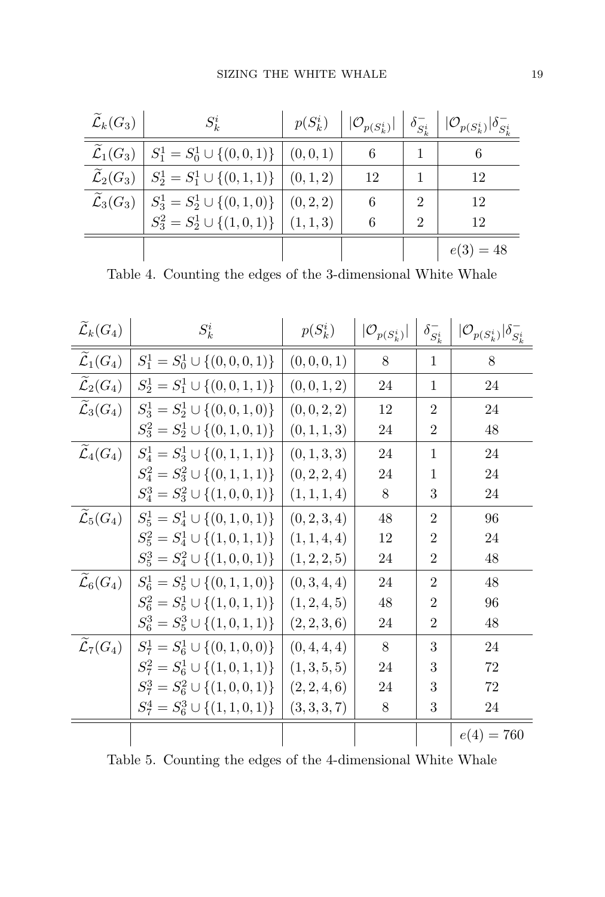| $\widetilde{\mathcal{L}}_k(G_3)$ | $S_k^i$                                    | $p(S_k^i)$ |    |                | $ \mathcal{O}_{p(S_k^i)}  \mid \delta_{S_k^i}^-    \mathcal{O}_{p(S_k^i)}  \delta_{S_k^i}^-$ |
|----------------------------------|--------------------------------------------|------------|----|----------------|----------------------------------------------------------------------------------------------|
| $\widetilde{\mathcal{L}}_1(G_3)$ | $S_1^1 = S_0^1 \cup \{(0,0,1)\}$ $(0,0,1)$ |            | 6  |                | 6                                                                                            |
| $\widetilde{\mathcal{L}}_2(G_3)$ | $S_2^1 = S_1^1 \cup \{(0,1,1)\}\$          | (0, 1, 2)  | 12 |                | 12                                                                                           |
| $\widetilde{\mathcal{L}}_3(G_3)$ | $S_3^1 = S_2^1 \cup \{(0,1,0)\}\;$         | (0, 2, 2)  | 6  | $\overline{2}$ | 12                                                                                           |
|                                  | $S_3^2 = S_2^1 \cup \{(1,0,1)\}\$          | (1, 1, 3)  | 6  | $\overline{2}$ | 12                                                                                           |
|                                  |                                            |            |    |                | $e(3) = 48$                                                                                  |

<span id="page-18-0"></span>Table 4. Counting the edges of the 3-dimensional White Whale

| $\widetilde{\mathcal{L}}_k(G_4)$ | $S_k^i$                                | $p(S_k^i)$   | $ \mathcal{O}_{p(S_k^i)} $ | $\delta_{S^i_{\nu}}^-$ | $ \mathcal{O}_{p(S_k^i)} \delta_{S_k^i}^-$ |
|----------------------------------|----------------------------------------|--------------|----------------------------|------------------------|--------------------------------------------|
| $\mathcal{L}_1(G_4)$             | $S_1^1 = S_0^1 \cup \{(0,0,0,1)\}\$    | (0, 0, 0, 1) | 8                          | 1                      | 8                                          |
| $\mathcal{L}_2(G_4)$             | $S_2^1 = S_1^1 \cup \{(0,0,1,1)\}\$    | (0, 0, 1, 2) | 24                         | $\mathbf{1}$           | 24                                         |
| $\widetilde{\mathcal{L}}_3(G_4)$ | $S_3^1 = S_2^1 \cup \{(0,0,1,0)\}\$    | (0, 0, 2, 2) | 12                         | $\overline{2}$         | 24                                         |
|                                  | $S_3^2 = S_2^1 \cup \{(0,1,0,1)\}\$    | (0, 1, 1, 3) | 24                         | $\overline{2}$         | 48                                         |
| $\mathcal{L}_4(G_4)$             | $S_4^1 = S_3^1 \cup \{(0,1,1,1)\}\$    | (0, 1, 3, 3) | 24                         | 1                      | 24                                         |
|                                  | $S_4^2 = S_3^2 \cup \{(0,1,1,1)\}\$    | (0, 2, 2, 4) | 24                         | $\mathbf{1}$           | 24                                         |
|                                  | $S_4^3 = S_3^2 \cup \{(1,0,0,1)\}\$    | (1, 1, 1, 4) | 8                          | 3                      | 24                                         |
| $\widetilde{\mathcal{L}}_5(G_4)$ | $S_5^1 = S_4^1 \cup \{(0,1,0,1)\}\$    | (0, 2, 3, 4) | 48                         | $\overline{2}$         | 96                                         |
|                                  | $S_5^2 = S_4^1 \cup \{(1,0,1,1)\}\$    | (1, 1, 4, 4) | 12                         | $\overline{2}$         | 24                                         |
|                                  | $S_5^3 = S_4^2 \cup \{(1,0,0,1)\}\$    | (1, 2, 2, 5) | 24                         | $\overline{2}$         | 48                                         |
| $\mathcal{L}_6(G_4)$             | $S_6^1 = S_5^1 \cup \{(0, 1, 1, 0)\}\$ | (0, 3, 4, 4) | 24                         | $\overline{2}$         | 48                                         |
|                                  | $S_6^2 = S_5^1 \cup \{(1,0,1,1)\}\$    | (1, 2, 4, 5) | 48                         | $\overline{2}$         | 96                                         |
|                                  | $S_6^3 = S_5^3 \cup \{(1,0,1,1)\}\$    | (2, 2, 3, 6) | 24                         | $\overline{2}$         | 48                                         |
| $\widetilde{\mathcal{L}}_7(G_4)$ | $S_7^1 = S_6^1 \cup \{(0,1,0,0)\}\$    | (0, 4, 4, 4) | 8                          | 3                      | 24                                         |
|                                  | $S_7^2 = S_6^1 \cup \{(1,0,1,1)\}\$    | (1,3,5,5)    | 24                         | 3                      | 72                                         |
|                                  | $S_7^3 = S_6^2 \cup \{(1,0,0,1)\}\$    | (2, 2, 4, 6) | 24                         | 3                      | 72                                         |
|                                  | $S_7^4 = S_6^3 \cup \{(1,1,0,1)\}\$    | (3, 3, 3, 7) | 8                          | 3                      | 24                                         |
|                                  |                                        |              |                            |                        | $e(4) = 760$                               |

<span id="page-18-1"></span>Table 5. Counting the edges of the 4-dimensional White Whale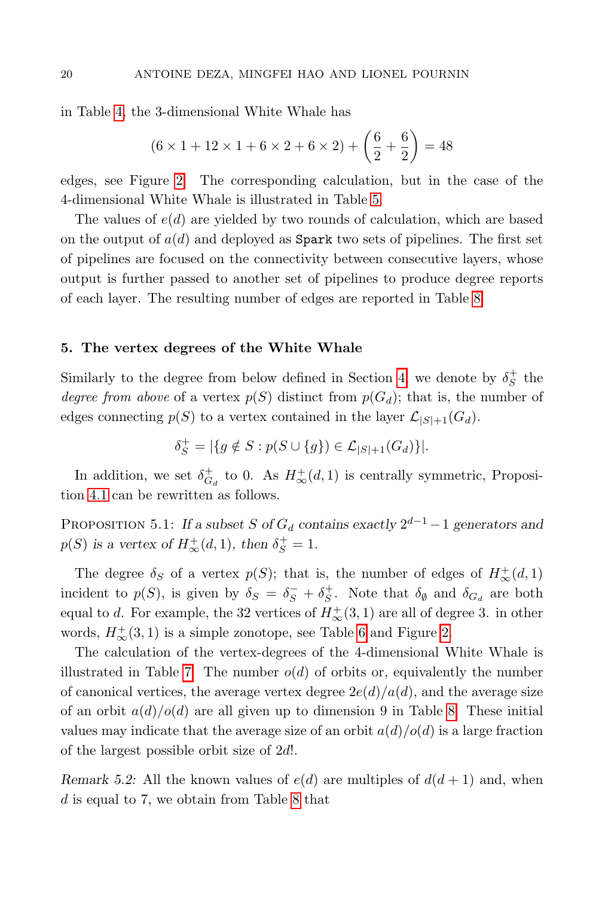in Table [4,](#page-18-0) the 3-dimensional White Whale has

$$
(6 \times 1 + 12 \times 1 + 6 \times 2 + 6 \times 2) + \left(\frac{6}{2} + \frac{6}{2}\right) = 48
$$

edges, see Figure [2.](#page-11-1) The corresponding calculation, but in the case of the 4-dimensional White Whale is illustrated in Table [5.](#page-18-1)

The values of  $e(d)$  are yielded by two rounds of calculation, which are based on the output of  $a(d)$  and deployed as **Spark** two sets of pipelines. The first set of pipelines are focused on the connectivity between consecutive layers, whose output is further passed to another set of pipelines to produce degree reports of each layer. The resulting number of edges are reported in Table [8.](#page-21-0)

### <span id="page-19-0"></span>5. The vertex degrees of the White Whale

Similarly to the degree from below defined in Section [4,](#page-16-0) we denote by  $\delta_S^+$  the degree from above of a vertex  $p(S)$  distinct from  $p(G_d)$ ; that is, the number of edges connecting  $p(S)$  to a vertex contained in the layer  $\mathcal{L}_{|S|+1}(G_d)$ .

$$
\delta_S^+ = |\{g \notin S : p(S \cup \{g\}) \in \mathcal{L}_{|S|+1}(G_d)\}|.
$$

In addition, we set  $\delta_{G_d}^+$  to 0. As  $H^+_{\infty}(d,1)$  is centrally symmetric, Proposition [4.1](#page-17-0) can be rewritten as follows.

PROPOSITION 5.1: If a subset S of  $G_d$  contains exactly  $2^{d-1} - 1$  generators and  $p(S)$  is a vertex of  $H^+_{\infty}(d, 1)$ , then  $\delta_S^+ = 1$ .

The degree  $\delta_S$  of a vertex  $p(S)$ ; that is, the number of edges of  $H^{\pm}_{\infty}(d,1)$ incident to  $p(S)$ , is given by  $\delta_S = \delta_S^- + \delta_S^+$ . Note that  $\delta_{\emptyset}$  and  $\delta_{G_d}$  are both equal to d. For example, the 32 vertices of  $H^+_{\infty}(3,1)$  are all of degree 3. in other words,  $H^{\pm}_{\infty}(3,1)$  is a simple zonotope, see Table [6](#page-20-0) and Figure [2.](#page-11-1)

The calculation of the vertex-degrees of the 4-dimensional White Whale is illustrated in Table [7.](#page-20-1) The number  $o(d)$  of orbits or, equivalently the number of canonical vertices, the average vertex degree  $2e(d)/a(d)$ , and the average size of an orbit  $a(d)/o(d)$  are all given up to dimension 9 in Table [8.](#page-21-0) These initial values may indicate that the average size of an orbit  $a(d)/o(d)$  is a large fraction of the largest possible orbit size of 2d!.

Remark 5.2: All the known values of  $e(d)$  are multiples of  $d(d+1)$  and, when d is equal to 7, we obtain from Table [8](#page-21-0) that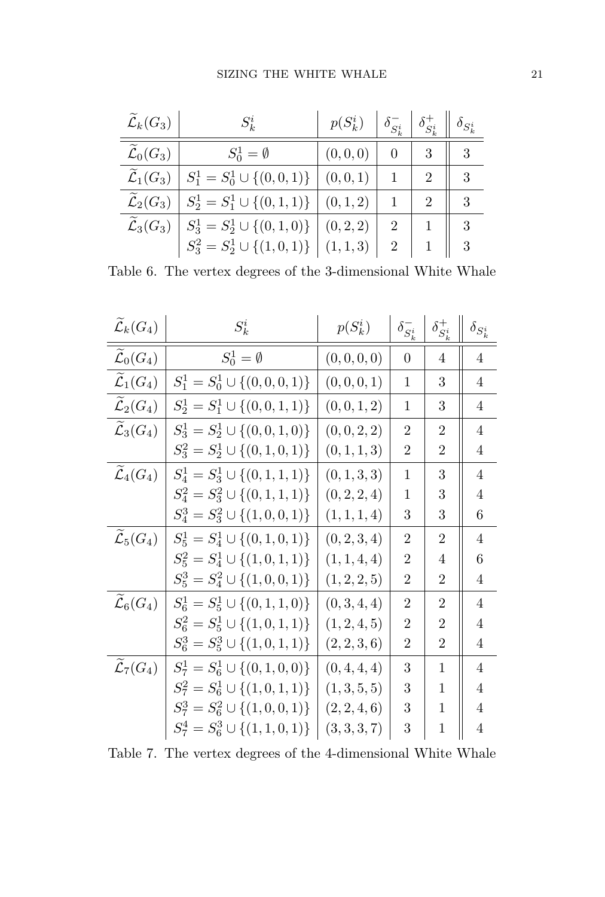| $\widetilde{\mathcal{L}}_k(G_3)$ | $S_k^i$                                                                           | $p(S_k^i)$ |                | $\delta_{S_i^i}^ \delta_{S_i^i}^+$ $\parallel \delta_{S_k^i}$ |   |
|----------------------------------|-----------------------------------------------------------------------------------|------------|----------------|---------------------------------------------------------------|---|
| $\widetilde{\mathcal{L}}_0(G_3)$ | $S_0^1 = \emptyset$                                                               | (0,0,0)    | $\theta$       | 3                                                             | 3 |
| $\widetilde{\mathcal{L}}_1(G_3)$ | $S_1^1 = S_0^1 \cup \{(0,0,1)\}$ $(0,0,1)$                                        |            |                | $\mathcal{D}_{\mathcal{L}}$                                   | 3 |
| $\widetilde{\mathcal{L}}_2(G_3)$ | $S_2^1 = S_1^1 \cup \{(0,1,1)\}\$                                                 | (0, 1, 2)  |                | $\mathfrak{D}$                                                | 3 |
|                                  | $\widetilde{\mathcal{L}}_3(G_3) \mid S_3^1 = S_2^1 \cup \{(0,1,0)\} \mid (0,2,2)$ |            | $\overline{2}$ |                                                               |   |
|                                  | $S_3^2 = S_2^1 \cup \{(1,0,1)\}$                                                  | (1,1,3)    | $\overline{2}$ | $1 \parallel 3$                                               |   |

<span id="page-20-0"></span>Table 6. The vertex degrees of the 3-dimensional White Whale

| $\widetilde{\mathcal{L}}_k(G_4)$ | $S_k^i$                             | $p(S_k^i)$   | $\delta_{S^i_k}^-$ | $\delta_{S_i^i}^+$ | $\delta_{S^i_k}$ |
|----------------------------------|-------------------------------------|--------------|--------------------|--------------------|------------------|
| $\mathcal{L}_0(G_4)$             | $S^1_0 = \emptyset$                 | (0, 0, 0, 0) | $\overline{0}$     | 4                  | $\overline{4}$   |
| $\mathcal{L}_1(G_4)$             | $S_1^1 = S_0^1 \cup \{(0,0,0,1)\}\$ | (0,0,0,1)    | 1                  | 3                  | $\overline{4}$   |
| $\mathcal{L}_2(G_4)$             | $S_2^1 = S_1^1 \cup \{(0,0,1,1)\}\$ | (0, 0, 1, 2) | 1                  | 3                  | 4                |
| $\mathcal{L}_3(G_4)$             | $S_3^1 = S_2^1 \cup \{(0,0,1,0)\}\$ | (0, 0, 2, 2) | $\overline{2}$     | 2                  | $\overline{4}$   |
|                                  | $S_3^2 = S_2^1 \cup \{(0,1,0,1)\}\$ | (0, 1, 1, 3) | 2                  | 2                  | $\overline{4}$   |
| $\widetilde{\mathcal{L}}_4(G_4)$ | $S_4^1 = S_3^1 \cup \{(0,1,1,1)\}\$ | (0, 1, 3, 3) | 1                  | 3                  | $\overline{4}$   |
|                                  | $S_4^2 = S_3^2 \cup \{(0,1,1,1)\}\$ | (0, 2, 2, 4) | 1                  | 3                  | $\overline{4}$   |
|                                  | $S_4^3 = S_3^2 \cup \{(1,0,0,1)\}\$ | (1, 1, 1, 4) | 3                  | 3                  | 6                |
| $\widetilde{\mathcal{L}}_5(G_4)$ | $S_5^1 = S_4^1 \cup \{(0,1,0,1)\}\$ | (0, 2, 3, 4) | $\overline{2}$     | $\overline{2}$     | 4                |
|                                  | $S_5^2 = S_4^1 \cup \{(1,0,1,1)\}\$ | (1, 1, 4, 4) | $\overline{2}$     | 4                  | 6                |
|                                  | $S_5^3 = S_4^2 \cup \{(1,0,0,1)\}\$ | (1, 2, 2, 5) | 2                  | 2                  | 4                |
| $\widetilde{\mathcal{L}}_6(G_4)$ | $S_6^1 = S_5^1 \cup \{(0,1,1,0)\}\$ | (0, 3, 4, 4) | $\mathcal{D}$      | 2                  | $\overline{4}$   |
|                                  | $S_6^2 = S_5^1 \cup \{(1,0,1,1)\}\$ | (1, 2, 4, 5) | $\overline{2}$     | $\overline{2}$     | $\overline{4}$   |
|                                  | $S_6^3 = S_5^3 \cup \{(1,0,1,1)\}\$ | (2, 2, 3, 6) | 2                  | 2                  | $\overline{4}$   |
| $\widetilde{\mathcal{L}}_7(G_4)$ | $S_7^1 = S_6^1 \cup \{(0,1,0,0)\}\$ | (0, 4, 4, 4) | 3                  | 1                  | $\overline{4}$   |
|                                  | $S_7^2 = S_6^1 \cup \{(1,0,1,1)\}\$ | (1, 3, 5, 5) | 3                  | 1                  | 4                |
|                                  | $S_7^3 = S_6^2 \cup \{(1,0,0,1)\}\$ | (2, 2, 4, 6) | 3                  | 1                  | 4                |
|                                  | $S_7^4 = S_6^3 \cup \{(1,1,0,1)\}\$ | (3,3,3,7)    | 3                  | 1                  | 4                |

<span id="page-20-1"></span>Table 7. The vertex degrees of the 4-dimensional White Whale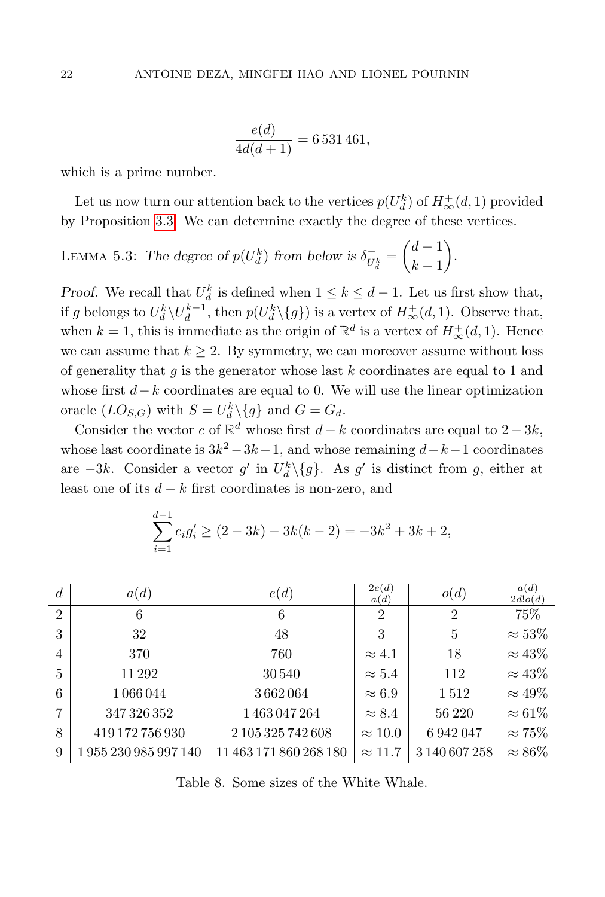$$
\frac{e(d)}{4d(d+1)} = 6\,531\,461,
$$

which is a prime number.

<sub>1</sub><sup>1</sup>

Let us now turn our attention back to the vertices  $p(U_d^k)$  of  $H^+_{\infty}(d, 1)$  provided by Proposition [3.3.](#page-8-0) We can determine exactly the degree of these vertices.

<span id="page-21-1"></span>LEMMA 5.3: The degree of  $p(U_d^k)$  from below is  $\delta_{U_d^k}^- = \begin{pmatrix} d-1 \\ k-1 \end{pmatrix}$  $k-1$ .

*Proof.* We recall that  $U_d^k$  is defined when  $1 \leq k \leq d-1$ . Let us first show that, if g belongs to  $U_d^k \backslash U_d^{k-1}$ , then  $p(U_d^k \backslash \{g\})$  is a vertex of  $H^+_{\infty}(d, 1)$ . Observe that, when  $k = 1$ , this is immediate as the origin of  $\mathbb{R}^d$  is a vertex of  $H^+_{\infty}(d, 1)$ . Hence we can assume that  $k \geq 2$ . By symmetry, we can moreover assume without loss of generality that  $g$  is the generator whose last  $k$  coordinates are equal to 1 and whose first  $d-k$  coordinates are equal to 0. We will use the linear optimization oracle  $(LO_{S,G})$  with  $S = U_d^k \setminus \{g\}$  and  $G = G_d$ .

Consider the vector c of  $\mathbb{R}^d$  whose first  $d-k$  coordinates are equal to  $2-3k$ , whose last coordinate is  $3k^2 - 3k - 1$ , and whose remaining  $d-k-1$  coordinates are  $-3k$ . Consider a vector g' in  $U_d^k \setminus \{g\}$ . As g' is distinct from g, either at least one of its  $d - k$  first coordinates is non-zero, and

$$
\sum_{i=1}^{a-1} c_i g'_i \ge (2 - 3k) - 3k(k - 2) = -3k^2 + 3k + 2,
$$

| $\overline{d}$ | a(d)             | e(d)                   | 2e(d)<br>a(d)  | o(d)           | a(d)<br>2d!o(d) |
|----------------|------------------|------------------------|----------------|----------------|-----------------|
| $\overline{2}$ | 6                | 6                      | $\mathfrak{D}$ | $\overline{2}$ | 75%             |
| 3              | 32               | 48                     | 3              | 5              | $\approx 53\%$  |
| $\overline{4}$ | 370              | 760                    | $\approx 4.1$  | 18             | $\approx 43\%$  |
| $\overline{5}$ | 11292            | 30540                  | $\approx 5.4$  | 112            | $\approx 43\%$  |
| 6              | 1 066 044        | 3662064                | $\approx 6.9$  | 1512           | $\approx 49\%$  |
| 7              | 347 326 352      | 1463047264             | $\approx 8.4$  | 56 220         | $\approx 61\%$  |
| 8              | 419 172 756 930  | 2 105 325 742 608      | $\approx 10.0$ | 6942047        | $\approx 75\%$  |
| 9              | 1955230985997140 | 11 463 171 860 268 180 | $\approx 11.7$ | 3 140 607 258  | $\approx 86\%$  |

<span id="page-21-0"></span>Table 8. Some sizes of the White Whale.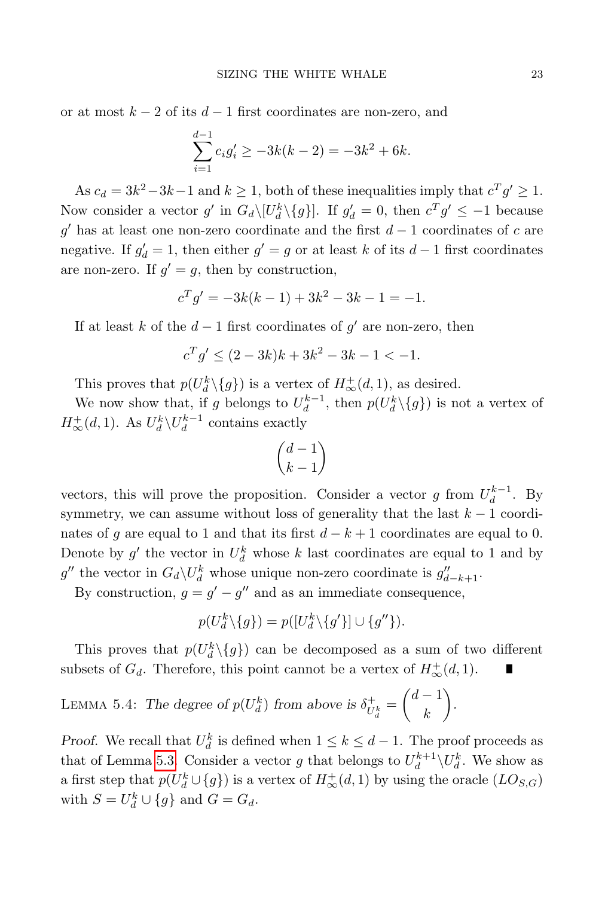or at most  $k - 2$  of its  $d - 1$  first coordinates are non-zero, and

$$
\sum_{i=1}^{d-1} c_i g'_i \ge -3k(k-2) = -3k^2 + 6k.
$$

As  $c_d = 3k^2 - 3k - 1$  and  $k \ge 1$ , both of these inequalities imply that  $c^T g' \ge 1$ . Now consider a vector g' in  $G_d \setminus [U_d^k \setminus \{g\}]$ . If  $g'_d = 0$ , then  $c^T g' \le -1$  because g' has at least one non-zero coordinate and the first  $d-1$  coordinates of c are negative. If  $g'_d = 1$ , then either  $g' = g$  or at least k of its  $d-1$  first coordinates are non-zero. If  $g' = g$ , then by construction,

$$
c^T g' = -3k(k-1) + 3k^2 - 3k - 1 = -1.
$$

If at least k of the  $d-1$  first coordinates of  $g'$  are non-zero, then

$$
c^T g' \le (2 - 3k)k + 3k^2 - 3k - 1 < -1.
$$

This proves that  $p(U_d^k \setminus \{g\})$  is a vertex of  $H^+_{\infty}(d, 1)$ , as desired.

We now show that, if g belongs to  $U_d^{k-1}$ , then  $p(U_d^k \setminus \{g\})$  is not a vertex of  $H^+_{\infty}(d, 1)$ . As  $U_d^k \setminus U_d^{k-1}$  contains exactly

$$
\binom{d-1}{k-1}
$$

vectors, this will prove the proposition. Consider a vector g from  $U_d^{k-1}$ . By symmetry, we can assume without loss of generality that the last  $k - 1$  coordinates of g are equal to 1 and that its first  $d - k + 1$  coordinates are equal to 0. Denote by  $g'$  the vector in  $U_d^k$  whose k last coordinates are equal to 1 and by g'' the vector in  $G_d \backslash U_d^k$  whose unique non-zero coordinate is  $g''_{d-k+1}$ .

By construction,  $g = g' - g''$  and as an immediate consequence,

$$
p(U_d^k \setminus \{g\}) = p([U_d^k \setminus \{g'\}] \cup \{g''\}).
$$

This proves that  $p(U^k_d \setminus \{g\})$  can be decomposed as a sum of two different subsets of  $G_d$ . Therefore, this point cannot be a vertex of  $H^{\dagger}_{\infty}(d,1)$ .

<span id="page-22-0"></span>LEMMA 5.4: The degree of 
$$
p(U_d^k)
$$
 from above is  $\delta_{U_d^k}^+ = \begin{pmatrix} d-1 \\ k \end{pmatrix}$ .

*Proof.* We recall that  $U_d^k$  is defined when  $1 \leq k \leq d-1$ . The proof proceeds as that of Lemma [5.3.](#page-21-1) Consider a vector g that belongs to  $U_d^{k+1} \setminus U_d^k$ . We show as a first step that  $p(U_d^k \cup \{g\})$  is a vertex of  $H^+_{\infty}(d, 1)$  by using the oracle  $(LO_{S,G})$ with  $S = U_d^k \cup \{g\}$  and  $G = G_d$ .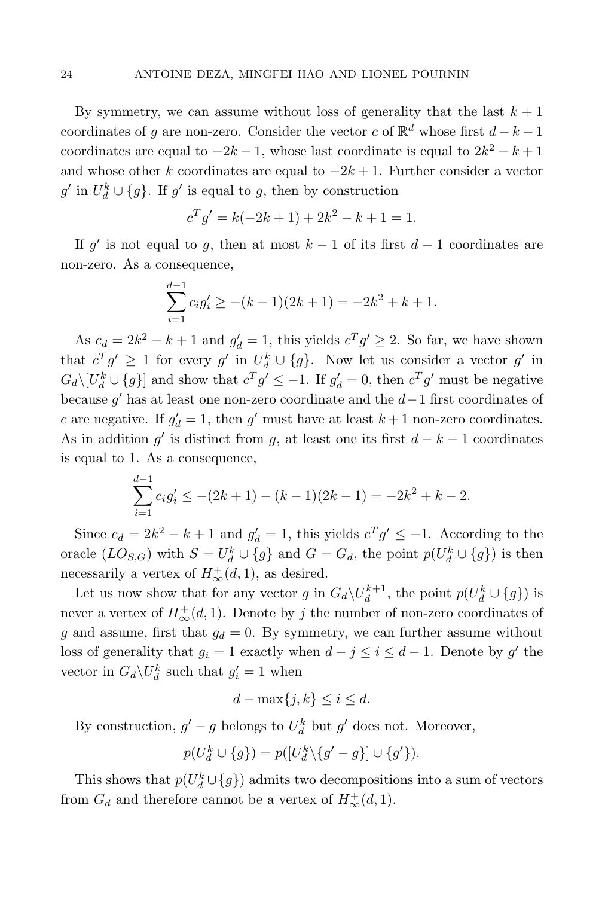By symmetry, we can assume without loss of generality that the last  $k + 1$ coordinates of g are non-zero. Consider the vector c of  $\mathbb{R}^d$  whose first  $d - k - 1$ coordinates are equal to  $-2k-1$ , whose last coordinate is equal to  $2k^2 - k + 1$ and whose other k coordinates are equal to  $-2k+1$ . Further consider a vector  $g'$  in  $U_d^k \cup \{g\}$ . If  $g'$  is equal to g, then by construction

$$
c^T g' = k(-2k+1) + 2k^2 - k + 1 = 1.
$$

If g' is not equal to g, then at most  $k-1$  of its first  $d-1$  coordinates are non-zero. As a consequence,

$$
\sum_{i=1}^{d-1} c_i g'_i \ge -(k-1)(2k+1) = -2k^2 + k + 1.
$$

As  $c_d = 2k^2 - k + 1$  and  $g'_d = 1$ , this yields  $c^T g' \geq 2$ . So far, we have shown that  $c^T g' \geq 1$  for every  $g'$  in  $U_d^k \cup \{g\}$ . Now let us consider a vector  $g'$  in  $G_d \setminus [U_d^k \cup \{g\}]$  and show that  $c^T g' \leq -1$ . If  $g'_d = 0$ , then  $c^T g'$  must be negative because  $g'$  has at least one non-zero coordinate and the  $d-1$  first coordinates of c are negative. If  $g'_d = 1$ , then  $g'$  must have at least  $k + 1$  non-zero coordinates. As in addition g' is distinct from g, at least one its first  $d - k - 1$  coordinates is equal to 1. As a consequence,

$$
\sum_{i=1}^{d-1} c_i g'_i \le -(2k+1) - (k-1)(2k-1) = -2k^2 + k - 2.
$$

Since  $c_d = 2k^2 - k + 1$  and  $g'_d = 1$ , this yields  $c^T g' \leq -1$ . According to the oracle  $(LO_{S,G})$  with  $S = U_d^k \cup \{g\}$  and  $G = G_d$ , the point  $p(U_d^k \cup \{g\})$  is then necessarily a vertex of  $H^{\text{+}}_{\infty}(d, 1)$ , as desired.

Let us now show that for any vector g in  $G_d\backslash U_d^{k+1}$ , the point  $p(U_d^k \cup \{g\})$  is never a vertex of  $H^{\pm}_{\infty}(d, 1)$ . Denote by j the number of non-zero coordinates of g and assume, first that  $g_d = 0$ . By symmetry, we can further assume without loss of generality that  $g_i = 1$  exactly when  $d - j \leq i \leq d - 1$ . Denote by g' the vector in  $G_d \backslash U_d^k$  such that  $g'_i = 1$  when

$$
d - \max\{j, k\} \le i \le d.
$$

By construction,  $g' - g$  belongs to  $U_d^k$  but  $g'$  does not. Moreover,

$$
p(U_d^k \cup \{g\}) = p([U_d^k \setminus \{g' - g\}] \cup \{g'\}).
$$

This shows that  $p(U_d^k \cup \{g\})$  admits two decompositions into a sum of vectors from  $G_d$  and therefore cannot be a vertex of  $H^+_{\infty}(d, 1)$ .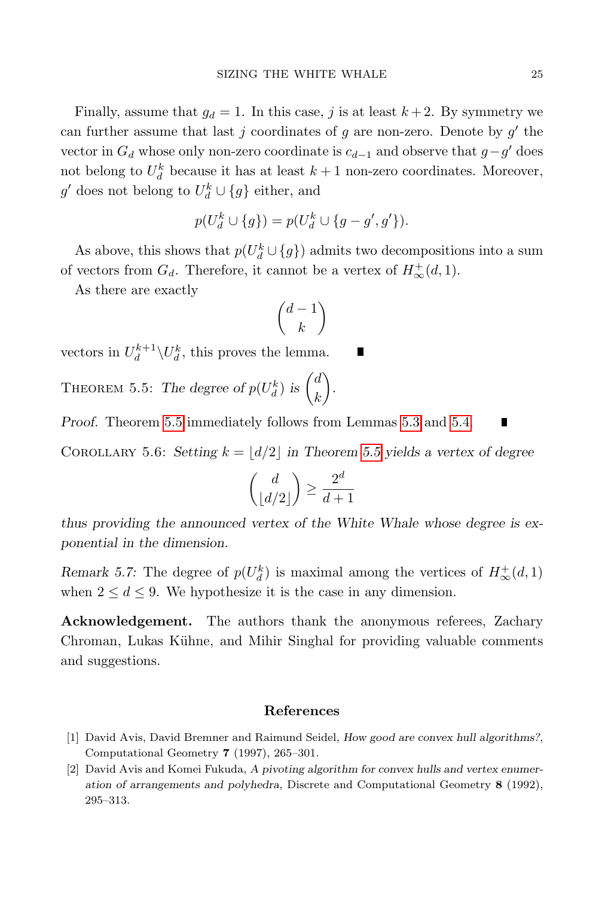Finally, assume that  $q_d = 1$ . In this case, j is at least  $k + 2$ . By symmetry we can further assume that last  $j$  coordinates of  $g$  are non-zero. Denote by  $g'$  the vector in  $G_d$  whose only non-zero coordinate is  $c_{d-1}$  and observe that  $g-g'$  does not belong to  $U_d^k$  because it has at least  $k+1$  non-zero coordinates. Moreover,  $g'$  does not belong to  $U_d^k \cup \{g\}$  either, and

$$
p(U_d^k \cup \{g\}) = p(U_d^k \cup \{g - g', g'\}).
$$

As above, this shows that  $p(U_d^k \cup \{g\})$  admits two decompositions into a sum of vectors from  $G_d$ . Therefore, it cannot be a vertex of  $H^{\dagger}_{\infty}(d,1)$ .

As there are exactly

$$
\binom{d-1}{k}
$$

vectors in  $U_d^{k+1} \backslash U_d^k$ , this proves the lemma.

<span id="page-24-2"></span>THEOREM 5.5: The degree of  $p(U_d^k)$  is  $\begin{pmatrix} d \\ k \end{pmatrix}$ k .

Proof. Theorem [5.5](#page-24-2) immediately follows from Lemmas [5.3](#page-21-1) and [5.4.](#page-22-0)

COROLLARY 5.6: Setting  $k = |d/2|$  in Theorem [5.5](#page-24-2) yields a vertex of degree

$$
\binom{d}{\lfloor d/2 \rfloor} \geq \frac{2^d}{d+1}
$$

thus providing the announced vertex of the White Whale whose degree is exponential in the dimension.

Remark 5.7: The degree of  $p(U_d^k)$  is maximal among the vertices of  $H^+_{\infty}(d,1)$ when  $2 \leq d \leq 9$ . We hypothesize it is the case in any dimension.

Acknowledgement. The authors thank the anonymous referees, Zachary Chroman, Lukas Kühne, and Mihir Singhal for providing valuable comments and suggestions.

### References

- <span id="page-24-0"></span>[1] David Avis, David Bremner and Raimund Seidel, How good are convex hull algorithms?, Computational Geometry 7 (1997), 265–301.
- <span id="page-24-1"></span>[2] David Avis and Komei Fukuda, A pivoting algorithm for convex hulls and vertex enumeration of arrangements and polyhedra, Discrete and Computational Geometry 8 (1992), 295–313.